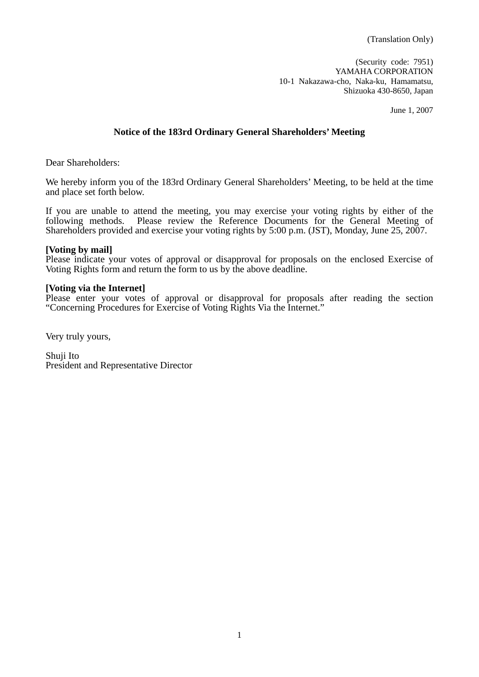(Security code: 7951) YAMAHA CORPORATION 10-1 Nakazawa-cho, Naka-ku, Hamamatsu, Shizuoka 430-8650, Japan

June 1, 2007

## **Notice of the 183rd Ordinary General Shareholders' Meeting**

Dear Shareholders:

We hereby inform you of the 183rd Ordinary General Shareholders' Meeting, to be held at the time and place set forth below.

If you are unable to attend the meeting, you may exercise your voting rights by either of the following methods. Please review the Reference Documents for the General Meeting of Shareholders provided and exercise your voting rights by 5:00 p.m. (JST), Monday, June 25, 2007.

#### **[Voting by mail]**

Please indicate your votes of approval or disapproval for proposals on the enclosed Exercise of Voting Rights form and return the form to us by the above deadline.

#### **[Voting via the Internet]**

Please enter your votes of approval or disapproval for proposals after reading the section "Concerning Procedures for Exercise of Voting Rights Via the Internet."

Very truly yours,

Shuji Ito President and Representative Director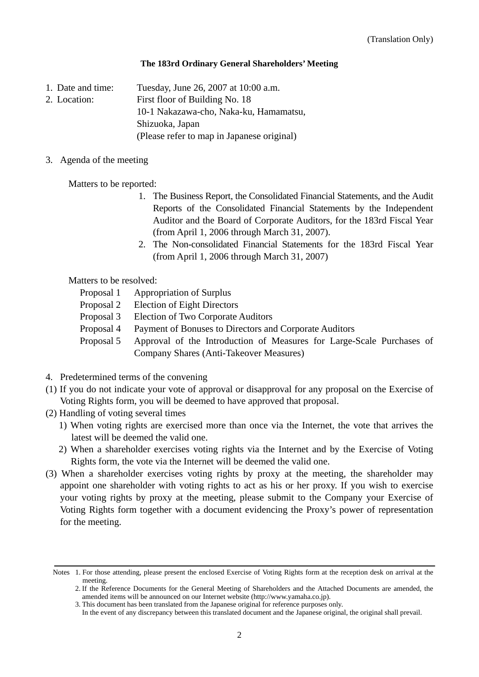#### **The 183rd Ordinary General Shareholders' Meeting**

1. Date and time: Tuesday, June 26, 2007 at 10:00 a.m.

2. Location: First floor of Building No. 18

10-1 Nakazawa-cho, Naka-ku, Hamamatsu,

Shizuoka, Japan

(Please refer to map in Japanese original)

3. Agenda of the meeting

Matters to be reported:

- 1. The Business Report, the Consolidated Financial Statements, and the Audit Reports of the Consolidated Financial Statements by the Independent Auditor and the Board of Corporate Auditors, for the 183rd Fiscal Year (from April 1, 2006 through March 31, 2007).
- 2. The Non-consolidated Financial Statements for the 183rd Fiscal Year (from April 1, 2006 through March 31, 2007)

Matters to be resolved:

- Proposal 1 Appropriation of Surplus
- Proposal 2 Election of Eight Directors
- Proposal 3 Election of Two Corporate Auditors
- Proposal 4 Payment of Bonuses to Directors and Corporate Auditors
- Proposal 5 Approval of the Introduction of Measures for Large-Scale Purchases of Company Shares (Anti-Takeover Measures)
- 4. Predetermined terms of the convening
- (1) If you do not indicate your vote of approval or disapproval for any proposal on the Exercise of Voting Rights form, you will be deemed to have approved that proposal.
- (2) Handling of voting several times
	- 1) When voting rights are exercised more than once via the Internet, the vote that arrives the latest will be deemed the valid one.
	- 2) When a shareholder exercises voting rights via the Internet and by the Exercise of Voting Rights form, the vote via the Internet will be deemed the valid one.
- (3) When a shareholder exercises voting rights by proxy at the meeting, the shareholder may appoint one shareholder with voting rights to act as his or her proxy. If you wish to exercise your voting rights by proxy at the meeting, please submit to the Company your Exercise of Voting Rights form together with a document evidencing the Proxy's power of representation for the meeting.

Notes 1. For those attending, please present the enclosed Exercise of Voting Rights form at the reception desk on arrival at the meeting.

<sup>2.</sup> If the Reference Documents for the General Meeting of Shareholders and the Attached Documents are amended, the amended items will be announced on our Internet website (http://www.yamaha.co.jp).

<sup>3.</sup> This document has been translated from the Japanese original for reference purposes only.

In the event of any discrepancy between this translated document and the Japanese original, the original shall prevail.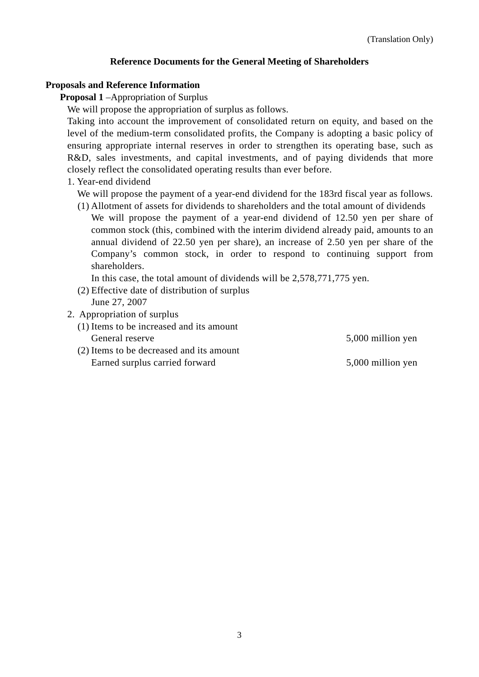## **Reference Documents for the General Meeting of Shareholders**

#### **Proposals and Reference Information**

**Proposal 1** –Appropriation of Surplus

We will propose the appropriation of surplus as follows.

Taking into account the improvement of consolidated return on equity, and based on the level of the medium-term consolidated profits, the Company is adopting a basic policy of ensuring appropriate internal reserves in order to strengthen its operating base, such as R&D, sales investments, and capital investments, and of paying dividends that more closely reflect the consolidated operating results than ever before.

1. Year-end dividend

We will propose the payment of a year-end dividend for the 183rd fiscal year as follows.

(1) Allotment of assets for dividends to shareholders and the total amount of dividends

We will propose the payment of a year-end dividend of 12.50 yen per share of common stock (this, combined with the interim dividend already paid, amounts to an annual dividend of 22.50 yen per share), an increase of 2.50 yen per share of the Company's common stock, in order to respond to continuing support from shareholders.

In this case, the total amount of dividends will be 2,578,771,775 yen.

- (2) Effective date of distribution of surplus June 27, 2007
- 2. Appropriation of surplus
	- (1) Items to be increased and its amount General reserve 5,000 million yen
	- (2) Items to be decreased and its amount Earned surplus carried forward 5,000 million yen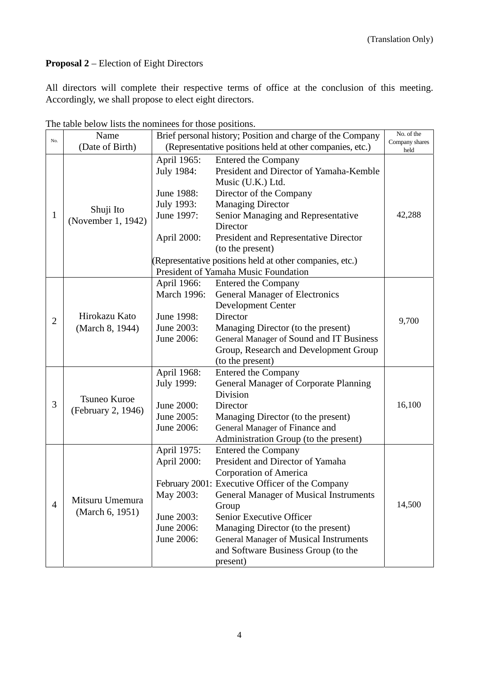## **Proposal 2** – Election of Eight Directors

All directors will complete their respective terms of office at the conclusion of this meeting. Accordingly, we shall propose to elect eight directors.

|                | The table below hold the hominees for those positions.<br>Brief personal history; Position and charge of the Company<br>Name |                                                          |                                                          | No. of the     |
|----------------|------------------------------------------------------------------------------------------------------------------------------|----------------------------------------------------------|----------------------------------------------------------|----------------|
| No.            | (Date of Birth)                                                                                                              | (Representative positions held at other companies, etc.) |                                                          | Company shares |
|                |                                                                                                                              |                                                          |                                                          | held           |
|                |                                                                                                                              | April 1965:                                              | Entered the Company                                      |                |
|                | Shuji Ito<br>(November 1, 1942)                                                                                              | July 1984:                                               | President and Director of Yamaha-Kemble                  |                |
|                |                                                                                                                              |                                                          | Music (U.K.) Ltd.                                        |                |
| 1              |                                                                                                                              | June 1988:                                               | Director of the Company                                  |                |
|                |                                                                                                                              | July 1993:                                               | <b>Managing Director</b>                                 |                |
|                |                                                                                                                              | June 1997:                                               | Senior Managing and Representative                       | 42,288         |
|                |                                                                                                                              |                                                          | Director                                                 |                |
|                |                                                                                                                              | April 2000:                                              | President and Representative Director                    |                |
|                |                                                                                                                              |                                                          | (to the present)                                         |                |
|                |                                                                                                                              |                                                          | (Representative positions held at other companies, etc.) |                |
|                |                                                                                                                              |                                                          | President of Yamaha Music Foundation                     |                |
|                |                                                                                                                              | April 1966:                                              | <b>Entered the Company</b>                               |                |
|                |                                                                                                                              | March 1996:                                              | <b>General Manager of Electronics</b>                    |                |
|                |                                                                                                                              |                                                          | Development Center                                       |                |
| $\overline{2}$ | Hirokazu Kato                                                                                                                | June 1998:                                               | Director                                                 | 9,700          |
|                | (March 8, 1944)                                                                                                              | June 2003:                                               | Managing Director (to the present)                       |                |
|                |                                                                                                                              | June 2006:                                               | General Manager of Sound and IT Business                 |                |
|                |                                                                                                                              |                                                          | Group, Research and Development Group                    |                |
|                |                                                                                                                              |                                                          | (to the present)                                         |                |
|                | Tsuneo Kuroe<br>(February 2, 1946)                                                                                           | April 1968:                                              | <b>Entered the Company</b>                               |                |
|                |                                                                                                                              | July 1999:                                               | General Manager of Corporate Planning                    |                |
|                |                                                                                                                              |                                                          | Division                                                 |                |
| 3              |                                                                                                                              | June 2000:                                               | Director                                                 | 16,100         |
|                |                                                                                                                              | June 2005:                                               | Managing Director (to the present)                       |                |
|                |                                                                                                                              | June 2006:                                               | General Manager of Finance and                           |                |
|                |                                                                                                                              |                                                          | Administration Group (to the present)                    |                |
|                | Mitsuru Umemura<br>(March 6, 1951)                                                                                           | April 1975:                                              | <b>Entered the Company</b>                               |                |
|                |                                                                                                                              | April 2000:                                              | President and Director of Yamaha                         |                |
|                |                                                                                                                              |                                                          | Corporation of America                                   |                |
| $\overline{4}$ |                                                                                                                              |                                                          | February 2001: Executive Officer of the Company          |                |
|                |                                                                                                                              | May 2003:                                                | <b>General Manager of Musical Instruments</b>            |                |
|                |                                                                                                                              |                                                          | Group                                                    | 14,500         |
|                |                                                                                                                              | June 2003:                                               | Senior Executive Officer                                 |                |
|                |                                                                                                                              | June 2006:                                               | Managing Director (to the present)                       |                |
|                |                                                                                                                              | June 2006:                                               | <b>General Manager of Musical Instruments</b>            |                |
|                |                                                                                                                              |                                                          | and Software Business Group (to the                      |                |
|                |                                                                                                                              |                                                          | present)                                                 |                |

The table below lists the nominees for those positions.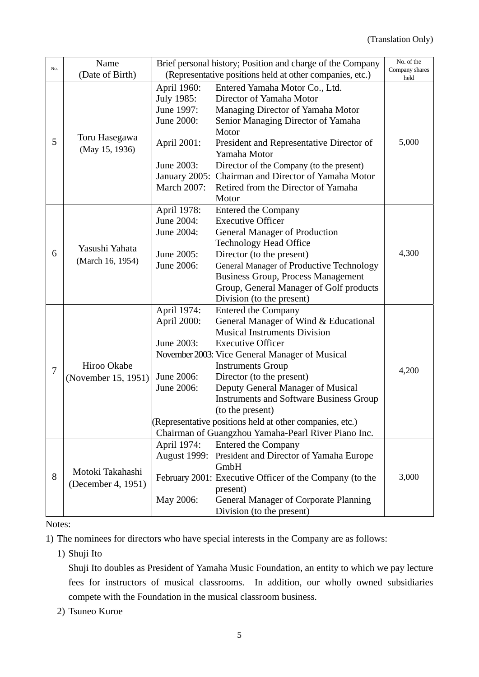|                | Brief personal history; Position and charge of the Company<br>Name |                                                          | No. of the                                               |                        |
|----------------|--------------------------------------------------------------------|----------------------------------------------------------|----------------------------------------------------------|------------------------|
| No.            | (Date of Birth)                                                    | (Representative positions held at other companies, etc.) |                                                          | Company shares<br>held |
|                |                                                                    | April 1960:                                              | Entered Yamaha Motor Co., Ltd.                           |                        |
| 5              |                                                                    | July 1985:                                               | Director of Yamaha Motor                                 |                        |
|                |                                                                    | June 1997:                                               | Managing Director of Yamaha Motor                        |                        |
|                | Toru Hasegawa<br>(May 15, 1936)                                    | June 2000:                                               | Senior Managing Director of Yamaha                       |                        |
|                |                                                                    |                                                          | Motor                                                    |                        |
|                |                                                                    | April 2001:                                              | President and Representative Director of                 | 5,000                  |
|                |                                                                    |                                                          | Yamaha Motor                                             |                        |
|                |                                                                    | June 2003:                                               | Director of the Company (to the present)                 |                        |
|                |                                                                    | January 2005:                                            | Chairman and Director of Yamaha Motor                    |                        |
|                |                                                                    | <b>March 2007:</b>                                       | Retired from the Director of Yamaha                      |                        |
|                |                                                                    |                                                          | Motor                                                    |                        |
|                |                                                                    | April 1978:                                              | <b>Entered the Company</b>                               |                        |
|                |                                                                    | June 2004:                                               | <b>Executive Officer</b>                                 |                        |
|                |                                                                    | June 2004:                                               | <b>General Manager of Production</b>                     |                        |
|                |                                                                    |                                                          | <b>Technology Head Office</b>                            |                        |
| 6              | Yasushi Yahata                                                     | June 2005:                                               | Director (to the present)                                | 4,300                  |
|                | (March 16, 1954)                                                   | June 2006:                                               | General Manager of Productive Technology                 |                        |
|                |                                                                    |                                                          | <b>Business Group, Process Management</b>                |                        |
|                |                                                                    |                                                          | Group, General Manager of Golf products                  |                        |
|                |                                                                    |                                                          | Division (to the present)                                |                        |
|                | Hiroo Okabe<br>(November 15, 1951)                                 | April 1974:                                              | Entered the Company                                      |                        |
|                |                                                                    | April 2000:                                              | General Manager of Wind & Educational                    |                        |
|                |                                                                    |                                                          | <b>Musical Instruments Division</b>                      |                        |
|                |                                                                    | June 2003:                                               | <b>Executive Officer</b>                                 |                        |
|                |                                                                    |                                                          | November 2003: Vice General Manager of Musical           |                        |
| $\overline{7}$ |                                                                    |                                                          | <b>Instruments Group</b>                                 | 4,200                  |
|                |                                                                    | June 2006:                                               | Director (to the present)                                |                        |
|                |                                                                    | June 2006:                                               | Deputy General Manager of Musical                        |                        |
|                |                                                                    |                                                          | <b>Instruments and Software Business Group</b>           |                        |
|                |                                                                    |                                                          | (to the present)                                         |                        |
|                |                                                                    |                                                          | (Representative positions held at other companies, etc.) |                        |
|                |                                                                    |                                                          | Chairman of Guangzhou Yamaha-Pearl River Piano Inc.      |                        |
| 8              | Motoki Takahashi<br>(December 4, 1951)                             | April 1974:                                              | <b>Entered the Company</b>                               |                        |
|                |                                                                    | <b>August 1999:</b>                                      | President and Director of Yamaha Europe                  |                        |
|                |                                                                    |                                                          | GmbH                                                     |                        |
|                |                                                                    |                                                          | February 2001: Executive Officer of the Company (to the  | 3,000                  |
|                |                                                                    |                                                          | present)                                                 |                        |
|                |                                                                    | May 2006:                                                | General Manager of Corporate Planning                    |                        |
|                |                                                                    |                                                          | Division (to the present)                                |                        |

## Notes:

1) The nominees for directors who have special interests in the Company are as follows:

1) Shuji Ito

Shuji Ito doubles as President of Yamaha Music Foundation, an entity to which we pay lecture fees for instructors of musical classrooms. In addition, our wholly owned subsidiaries compete with the Foundation in the musical classroom business.

2) Tsuneo Kuroe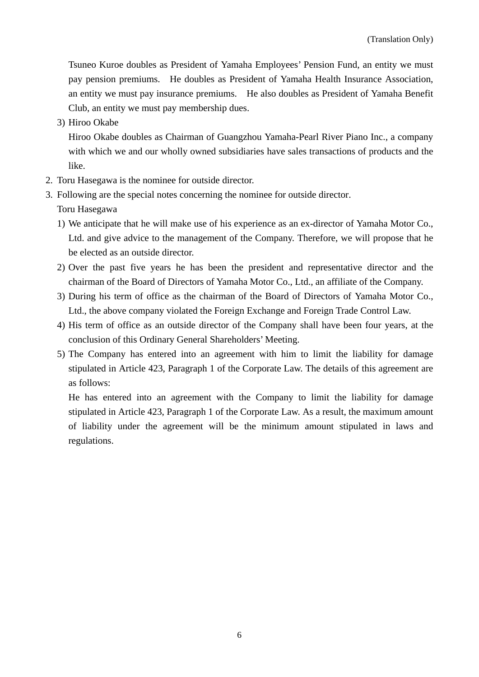Tsuneo Kuroe doubles as President of Yamaha Employees' Pension Fund, an entity we must pay pension premiums. He doubles as President of Yamaha Health Insurance Association, an entity we must pay insurance premiums. He also doubles as President of Yamaha Benefit Club, an entity we must pay membership dues.

3) Hiroo Okabe

Hiroo Okabe doubles as Chairman of Guangzhou Yamaha-Pearl River Piano Inc., a company with which we and our wholly owned subsidiaries have sales transactions of products and the like.

- 2. Toru Hasegawa is the nominee for outside director.
- 3. Following are the special notes concerning the nominee for outside director.
	- Toru Hasegawa
	- 1) We anticipate that he will make use of his experience as an ex-director of Yamaha Motor Co., Ltd. and give advice to the management of the Company. Therefore, we will propose that he be elected as an outside director.
	- 2) Over the past five years he has been the president and representative director and the chairman of the Board of Directors of Yamaha Motor Co., Ltd., an affiliate of the Company.
	- 3) During his term of office as the chairman of the Board of Directors of Yamaha Motor Co., Ltd., the above company violated the Foreign Exchange and Foreign Trade Control Law.
	- 4) His term of office as an outside director of the Company shall have been four years, at the conclusion of this Ordinary General Shareholders' Meeting.
	- 5) The Company has entered into an agreement with him to limit the liability for damage stipulated in Article 423, Paragraph 1 of the Corporate Law. The details of this agreement are as follows:

He has entered into an agreement with the Company to limit the liability for damage stipulated in Article 423, Paragraph 1 of the Corporate Law. As a result, the maximum amount of liability under the agreement will be the minimum amount stipulated in laws and regulations.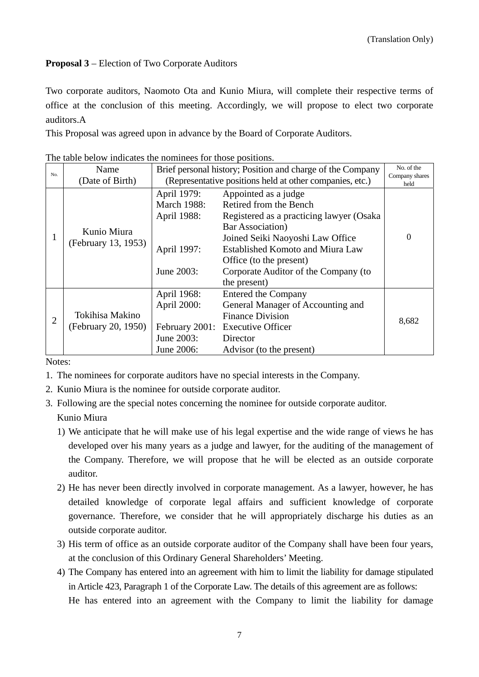## **Proposal 3** – Election of Two Corporate Auditors

Two corporate auditors, Naomoto Ota and Kunio Miura, will complete their respective terms of office at the conclusion of this meeting. Accordingly, we will propose to elect two corporate auditors.A

This Proposal was agreed upon in advance by the Board of Corporate Auditors.

| No.            | Name                               | Brief personal history; Position and charge of the Company |                                          | No. of the             |
|----------------|------------------------------------|------------------------------------------------------------|------------------------------------------|------------------------|
|                | (Date of Birth)                    | (Representative positions held at other companies, etc.)   |                                          | Company shares<br>held |
| 1.             | Kunio Miura<br>(February 13, 1953) | April 1979:                                                | Appointed as a judge                     |                        |
|                |                                    | <b>March 1988:</b>                                         | Retired from the Bench                   |                        |
|                |                                    | April 1988:                                                | Registered as a practicing lawyer (Osaka |                        |
|                |                                    |                                                            | <b>Bar Association</b> )                 |                        |
|                |                                    |                                                            | Joined Seiki Naoyoshi Law Office         | $\Omega$               |
|                |                                    | April 1997:                                                | <b>Established Komoto and Miura Law</b>  |                        |
|                |                                    |                                                            | Office (to the present)                  |                        |
|                |                                    | June 2003:                                                 | Corporate Auditor of the Company (to     |                        |
|                |                                    |                                                            | the present)                             |                        |
| $\overline{2}$ |                                    | April 1968:                                                | <b>Entered the Company</b>               |                        |
|                |                                    | April 2000:                                                | General Manager of Accounting and        |                        |
|                | Tokihisa Makino                    |                                                            | <b>Finance Division</b>                  | 8,682                  |
|                | (February 20, 1950)                |                                                            | February 2001: Executive Officer         |                        |
|                |                                    | June 2003:                                                 | Director                                 |                        |
|                |                                    | June 2006:                                                 | Advisor (to the present)                 |                        |

The table below indicates the nominees for those positions.

Notes:

- 1. The nominees for corporate auditors have no special interests in the Company.
- 2. Kunio Miura is the nominee for outside corporate auditor.
- 3. Following are the special notes concerning the nominee for outside corporate auditor. Kunio Miura
	- 1) We anticipate that he will make use of his legal expertise and the wide range of views he has developed over his many years as a judge and lawyer, for the auditing of the management of the Company. Therefore, we will propose that he will be elected as an outside corporate auditor.
	- 2) He has never been directly involved in corporate management. As a lawyer, however, he has detailed knowledge of corporate legal affairs and sufficient knowledge of corporate governance. Therefore, we consider that he will appropriately discharge his duties as an outside corporate auditor.
	- 3) His term of office as an outside corporate auditor of the Company shall have been four years, at the conclusion of this Ordinary General Shareholders' Meeting.
	- 4) The Company has entered into an agreement with him to limit the liability for damage stipulated in Article 423, Paragraph 1 of the Corporate Law. The details of this agreement are as follows: He has entered into an agreement with the Company to limit the liability for damage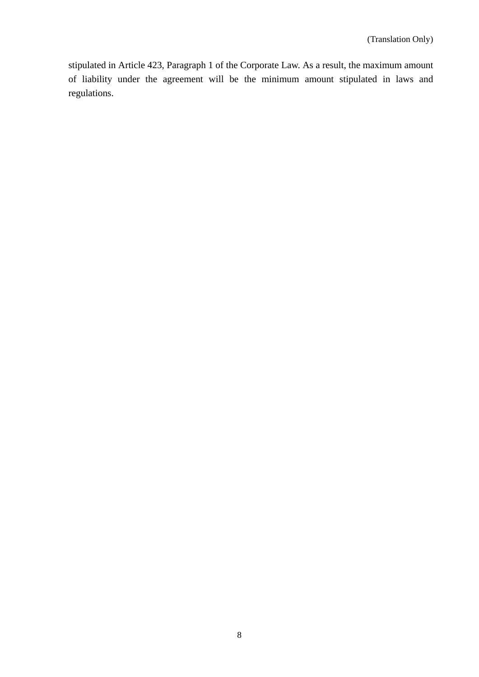stipulated in Article 423, Paragraph 1 of the Corporate Law. As a result, the maximum amount of liability under the agreement will be the minimum amount stipulated in laws and regulations.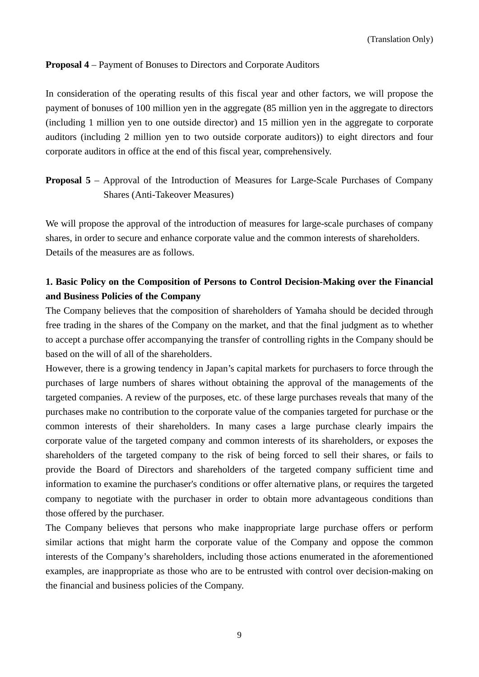## **Proposal 4** – Payment of Bonuses to Directors and Corporate Auditors

In consideration of the operating results of this fiscal year and other factors, we will propose the payment of bonuses of 100 million yen in the aggregate (85 million yen in the aggregate to directors (including 1 million yen to one outside director) and 15 million yen in the aggregate to corporate auditors (including 2 million yen to two outside corporate auditors)) to eight directors and four corporate auditors in office at the end of this fiscal year, comprehensively.

**Proposal 5** – Approval of the Introduction of Measures for Large-Scale Purchases of Company Shares (Anti-Takeover Measures)

We will propose the approval of the introduction of measures for large-scale purchases of company shares, in order to secure and enhance corporate value and the common interests of shareholders. Details of the measures are as follows.

## **1. Basic Policy on the Composition of Persons to Control Decision-Making over the Financial and Business Policies of the Company**

The Company believes that the composition of shareholders of Yamaha should be decided through free trading in the shares of the Company on the market, and that the final judgment as to whether to accept a purchase offer accompanying the transfer of controlling rights in the Company should be based on the will of all of the shareholders.

However, there is a growing tendency in Japan's capital markets for purchasers to force through the purchases of large numbers of shares without obtaining the approval of the managements of the targeted companies. A review of the purposes, etc. of these large purchases reveals that many of the purchases make no contribution to the corporate value of the companies targeted for purchase or the common interests of their shareholders. In many cases a large purchase clearly impairs the corporate value of the targeted company and common interests of its shareholders, or exposes the shareholders of the targeted company to the risk of being forced to sell their shares, or fails to provide the Board of Directors and shareholders of the targeted company sufficient time and information to examine the purchaser's conditions or offer alternative plans, or requires the targeted company to negotiate with the purchaser in order to obtain more advantageous conditions than those offered by the purchaser.

The Company believes that persons who make inappropriate large purchase offers or perform similar actions that might harm the corporate value of the Company and oppose the common interests of the Company's shareholders, including those actions enumerated in the aforementioned examples, are inappropriate as those who are to be entrusted with control over decision-making on the financial and business policies of the Company.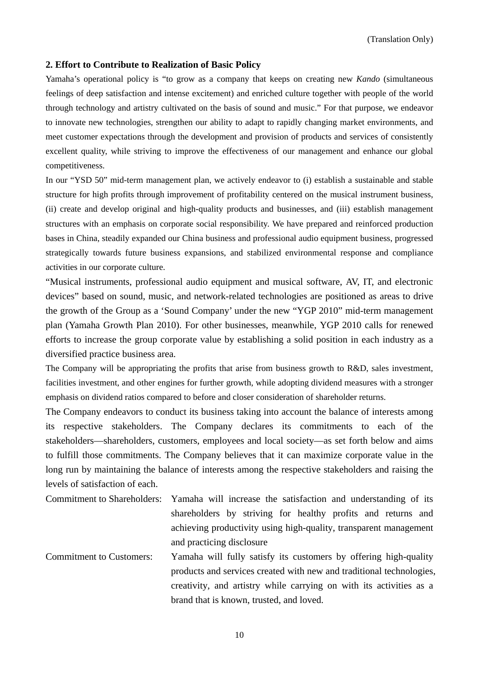#### **2. Effort to Contribute to Realization of Basic Policy**

Yamaha's operational policy is "to grow as a company that keeps on creating new *Kando* (simultaneous feelings of deep satisfaction and intense excitement) and enriched culture together with people of the world through technology and artistry cultivated on the basis of sound and music." For that purpose, we endeavor to innovate new technologies, strengthen our ability to adapt to rapidly changing market environments, and meet customer expectations through the development and provision of products and services of consistently excellent quality, while striving to improve the effectiveness of our management and enhance our global competitiveness.

In our "YSD 50" mid-term management plan, we actively endeavor to (i) establish a sustainable and stable structure for high profits through improvement of profitability centered on the musical instrument business, (ii) create and develop original and high-quality products and businesses, and (iii) establish management structures with an emphasis on corporate social responsibility. We have prepared and reinforced production bases in China, steadily expanded our China business and professional audio equipment business, progressed strategically towards future business expansions, and stabilized environmental response and compliance activities in our corporate culture.

"Musical instruments, professional audio equipment and musical software, AV, IT, and electronic devices" based on sound, music, and network-related technologies are positioned as areas to drive the growth of the Group as a 'Sound Company' under the new "YGP 2010" mid-term management plan (Yamaha Growth Plan 2010). For other businesses, meanwhile, YGP 2010 calls for renewed efforts to increase the group corporate value by establishing a solid position in each industry as a diversified practice business area.

The Company will be appropriating the profits that arise from business growth to R&D, sales investment, facilities investment, and other engines for further growth, while adopting dividend measures with a stronger emphasis on dividend ratios compared to before and closer consideration of shareholder returns.

The Company endeavors to conduct its business taking into account the balance of interests among its respective stakeholders. The Company declares its commitments to each of the stakeholders—shareholders, customers, employees and local society—as set forth below and aims to fulfill those commitments. The Company believes that it can maximize corporate value in the long run by maintaining the balance of interests among the respective stakeholders and raising the levels of satisfaction of each.

Commitment to Shareholders: Yamaha will increase the satisfaction and understanding of its shareholders by striving for healthy profits and returns and achieving productivity using high-quality, transparent management and practicing disclosure

Commitment to Customers: Yamaha will fully satisfy its customers by offering high-quality products and services created with new and traditional technologies, creativity, and artistry while carrying on with its activities as a brand that is known, trusted, and loved.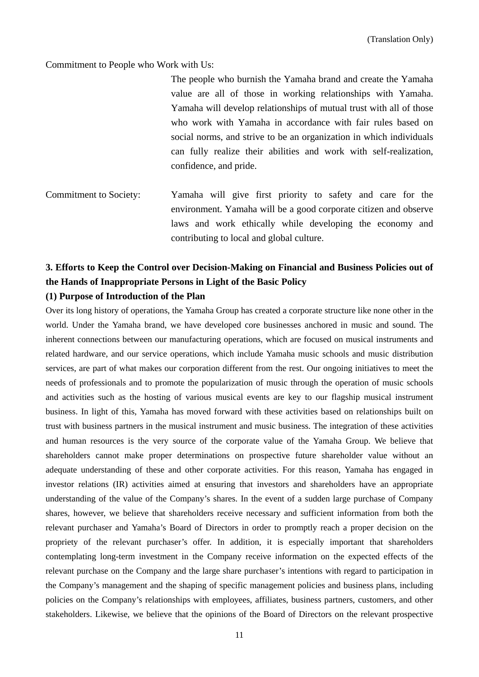Commitment to People who Work with Us:

The people who burnish the Yamaha brand and create the Yamaha value are all of those in working relationships with Yamaha. Yamaha will develop relationships of mutual trust with all of those who work with Yamaha in accordance with fair rules based on social norms, and strive to be an organization in which individuals can fully realize their abilities and work with self-realization, confidence, and pride.

Commitment to Society: Yamaha will give first priority to safety and care for the environment. Yamaha will be a good corporate citizen and observe laws and work ethically while developing the economy and contributing to local and global culture.

# **3. Efforts to Keep the Control over Decision-Making on Financial and Business Policies out of the Hands of Inappropriate Persons in Light of the Basic Policy**

#### **(1) Purpose of Introduction of the Plan**

Over its long history of operations, the Yamaha Group has created a corporate structure like none other in the world. Under the Yamaha brand, we have developed core businesses anchored in music and sound. The inherent connections between our manufacturing operations, which are focused on musical instruments and related hardware, and our service operations, which include Yamaha music schools and music distribution services, are part of what makes our corporation different from the rest. Our ongoing initiatives to meet the needs of professionals and to promote the popularization of music through the operation of music schools and activities such as the hosting of various musical events are key to our flagship musical instrument business. In light of this, Yamaha has moved forward with these activities based on relationships built on trust with business partners in the musical instrument and music business. The integration of these activities and human resources is the very source of the corporate value of the Yamaha Group. We believe that shareholders cannot make proper determinations on prospective future shareholder value without an adequate understanding of these and other corporate activities. For this reason, Yamaha has engaged in investor relations (IR) activities aimed at ensuring that investors and shareholders have an appropriate understanding of the value of the Company's shares. In the event of a sudden large purchase of Company shares, however, we believe that shareholders receive necessary and sufficient information from both the relevant purchaser and Yamaha's Board of Directors in order to promptly reach a proper decision on the propriety of the relevant purchaser's offer. In addition, it is especially important that shareholders contemplating long-term investment in the Company receive information on the expected effects of the relevant purchase on the Company and the large share purchaser's intentions with regard to participation in the Company's management and the shaping of specific management policies and business plans, including policies on the Company's relationships with employees, affiliates, business partners, customers, and other stakeholders. Likewise, we believe that the opinions of the Board of Directors on the relevant prospective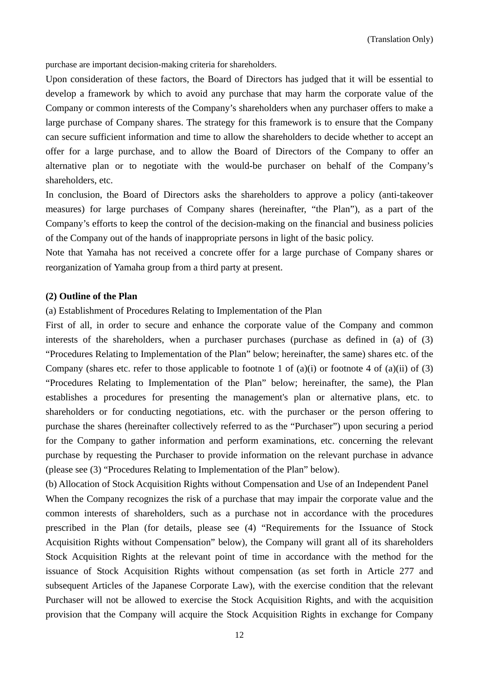purchase are important decision-making criteria for shareholders.

Upon consideration of these factors, the Board of Directors has judged that it will be essential to develop a framework by which to avoid any purchase that may harm the corporate value of the Company or common interests of the Company's shareholders when any purchaser offers to make a large purchase of Company shares. The strategy for this framework is to ensure that the Company can secure sufficient information and time to allow the shareholders to decide whether to accept an offer for a large purchase, and to allow the Board of Directors of the Company to offer an alternative plan or to negotiate with the would-be purchaser on behalf of the Company's shareholders, etc.

In conclusion, the Board of Directors asks the shareholders to approve a policy (anti-takeover measures) for large purchases of Company shares (hereinafter, "the Plan"), as a part of the Company's efforts to keep the control of the decision-making on the financial and business policies of the Company out of the hands of inappropriate persons in light of the basic policy.

Note that Yamaha has not received a concrete offer for a large purchase of Company shares or reorganization of Yamaha group from a third party at present.

#### **(2) Outline of the Plan**

(a) Establishment of Procedures Relating to Implementation of the Plan

First of all, in order to secure and enhance the corporate value of the Company and common interests of the shareholders, when a purchaser purchases (purchase as defined in (a) of (3) "Procedures Relating to Implementation of the Plan" below; hereinafter, the same) shares etc. of the Company (shares etc. refer to those applicable to footnote 1 of  $(a)(i)$  or footnote 4 of  $(a)(ii)$  of  $(3)$ "Procedures Relating to Implementation of the Plan" below; hereinafter, the same), the Plan establishes a procedures for presenting the management's plan or alternative plans, etc. to shareholders or for conducting negotiations, etc. with the purchaser or the person offering to purchase the shares (hereinafter collectively referred to as the "Purchaser") upon securing a period for the Company to gather information and perform examinations, etc. concerning the relevant purchase by requesting the Purchaser to provide information on the relevant purchase in advance (please see (3) "Procedures Relating to Implementation of the Plan" below).

(b) Allocation of Stock Acquisition Rights without Compensation and Use of an Independent Panel When the Company recognizes the risk of a purchase that may impair the corporate value and the common interests of shareholders, such as a purchase not in accordance with the procedures prescribed in the Plan (for details, please see (4) "Requirements for the Issuance of Stock Acquisition Rights without Compensation" below), the Company will grant all of its shareholders Stock Acquisition Rights at the relevant point of time in accordance with the method for the issuance of Stock Acquisition Rights without compensation (as set forth in Article 277 and subsequent Articles of the Japanese Corporate Law), with the exercise condition that the relevant Purchaser will not be allowed to exercise the Stock Acquisition Rights, and with the acquisition provision that the Company will acquire the Stock Acquisition Rights in exchange for Company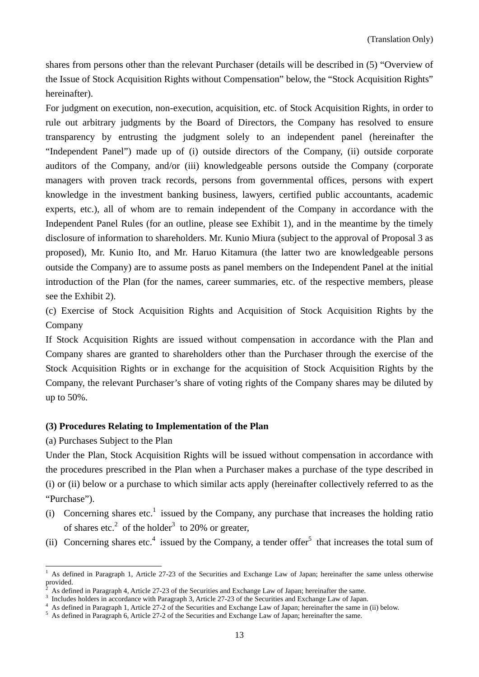shares from persons other than the relevant Purchaser (details will be described in (5) "Overview of the Issue of Stock Acquisition Rights without Compensation" below, the "Stock Acquisition Rights" hereinafter).

For judgment on execution, non-execution, acquisition, etc. of Stock Acquisition Rights, in order to rule out arbitrary judgments by the Board of Directors, the Company has resolved to ensure transparency by entrusting the judgment solely to an independent panel (hereinafter the "Independent Panel") made up of (i) outside directors of the Company, (ii) outside corporate auditors of the Company, and/or (iii) knowledgeable persons outside the Company (corporate managers with proven track records, persons from governmental offices, persons with expert knowledge in the investment banking business, lawyers, certified public accountants, academic experts, etc.), all of whom are to remain independent of the Company in accordance with the Independent Panel Rules (for an outline, please see Exhibit 1), and in the meantime by the timely disclosure of information to shareholders. Mr. Kunio Miura (subject to the approval of Proposal 3 as proposed), Mr. Kunio Ito, and Mr. Haruo Kitamura (the latter two are knowledgeable persons outside the Company) are to assume posts as panel members on the Independent Panel at the initial introduction of the Plan (for the names, career summaries, etc. of the respective members, please see the Exhibit 2).

(c) Exercise of Stock Acquisition Rights and Acquisition of Stock Acquisition Rights by the Company

If Stock Acquisition Rights are issued without compensation in accordance with the Plan and Company shares are granted to shareholders other than the Purchaser through the exercise of the Stock Acquisition Rights or in exchange for the acquisition of Stock Acquisition Rights by the Company, the relevant Purchaser's share of voting rights of the Company shares may be diluted by up to 50%.

## **(3) Procedures Relating to Implementation of the Plan**

(a) Purchases Subject to the Plan

Under the Plan, Stock Acquisition Rights will be issued without compensation in accordance with the procedures prescribed in the Plan when a Purchaser makes a purchase of the type described in (i) or (ii) below or a purchase to which similar acts apply (hereinafter collectively referred to as the "Purchase").

- (i) Concerning shares etc.<sup>1</sup> issued by the Company, any purchase that increases the holding ratio of shares etc.<sup>2</sup> of the holder<sup>3</sup> to 20% or greater,
- (ii) Concerning shares etc.<sup>4</sup> issued by the Company, a tender offer<sup>5</sup> that increases the total sum of

<sup>1</sup> As defined in Paragraph 1, Article 27-23 of the Securities and Exchange Law of Japan; hereinafter the same unless otherwise provided.

 $\bar{2}$ As defined in Paragraph 4, Article 27-23 of the Securities and Exchange Law of Japan; hereinafter the same. 3

Includes holders in accordance with Paragraph 3, Article 27-23 of the Securities and Exchange Law of Japan.

As defined in Paragraph 1, Article 27-2 of the Securities and Exchange Law of Japan; hereinafter the same in (ii) below.

<sup>&</sup>lt;sup>5</sup> As defined in Paragraph 6, Article 27-2 of the Securities and Exchange Law of Japan; hereinafter the same.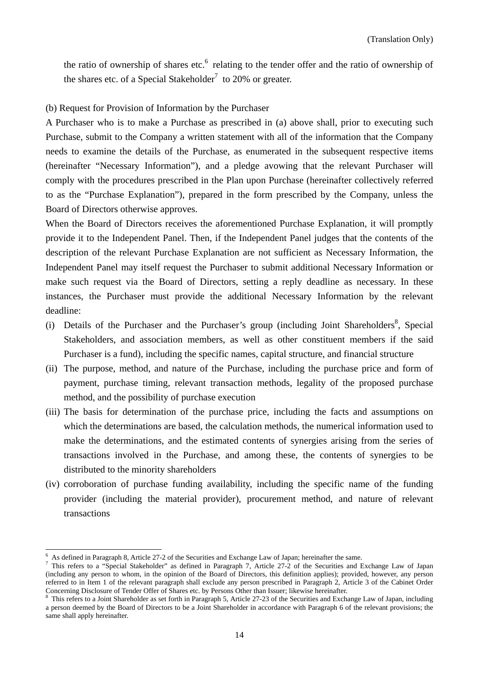the ratio of ownership of shares etc. $<sup>6</sup>$  relating to the tender offer and the ratio of ownership of</sup> the shares etc. of a Special Stakeholder<sup>7</sup> to 20% or greater.

## (b) Request for Provision of Information by the Purchaser

A Purchaser who is to make a Purchase as prescribed in (a) above shall, prior to executing such Purchase, submit to the Company a written statement with all of the information that the Company needs to examine the details of the Purchase, as enumerated in the subsequent respective items (hereinafter "Necessary Information"), and a pledge avowing that the relevant Purchaser will comply with the procedures prescribed in the Plan upon Purchase (hereinafter collectively referred to as the "Purchase Explanation"), prepared in the form prescribed by the Company, unless the Board of Directors otherwise approves.

When the Board of Directors receives the aforementioned Purchase Explanation, it will promptly provide it to the Independent Panel. Then, if the Independent Panel judges that the contents of the description of the relevant Purchase Explanation are not sufficient as Necessary Information, the Independent Panel may itself request the Purchaser to submit additional Necessary Information or make such request via the Board of Directors, setting a reply deadline as necessary. In these instances, the Purchaser must provide the additional Necessary Information by the relevant deadline:

- (i) Details of the Purchaser and the Purchaser's group (including Joint Shareholders $\delta$ , Special Stakeholders, and association members, as well as other constituent members if the said Purchaser is a fund), including the specific names, capital structure, and financial structure
- (ii) The purpose, method, and nature of the Purchase, including the purchase price and form of payment, purchase timing, relevant transaction methods, legality of the proposed purchase method, and the possibility of purchase execution
- (iii) The basis for determination of the purchase price, including the facts and assumptions on which the determinations are based, the calculation methods, the numerical information used to make the determinations, and the estimated contents of synergies arising from the series of transactions involved in the Purchase, and among these, the contents of synergies to be distributed to the minority shareholders
- (iv) corroboration of purchase funding availability, including the specific name of the funding provider (including the material provider), procurement method, and nature of relevant transactions

<sup>6</sup> As defined in Paragraph 8, Article 27-2 of the Securities and Exchange Law of Japan; hereinafter the same. 7

This refers to a "Special Stakeholder" as defined in Paragraph 7, Article 27-2 of the Securities and Exchange Law of Japan (including any person to whom, in the opinion of the Board of Directors, this definition applies); provided, however, any person referred to in Item 1 of the relevant paragraph shall exclude any person prescribed in Paragraph 2, Article 3 of the Cabinet Order Concerning Disclosure of Tender Offer of Shares etc. by Persons Other than Issuer; likewise hereinafter.

<sup>&</sup>lt;sup>8</sup> This refers to a Joint Shareholder as set forth in Paragraph 5, Article 27-23 of the Securities and Exchange Law of Japan, including a person deemed by the Board of Directors to be a Joint Shareholder in accordance with Paragraph 6 of the relevant provisions; the same shall apply hereinafter.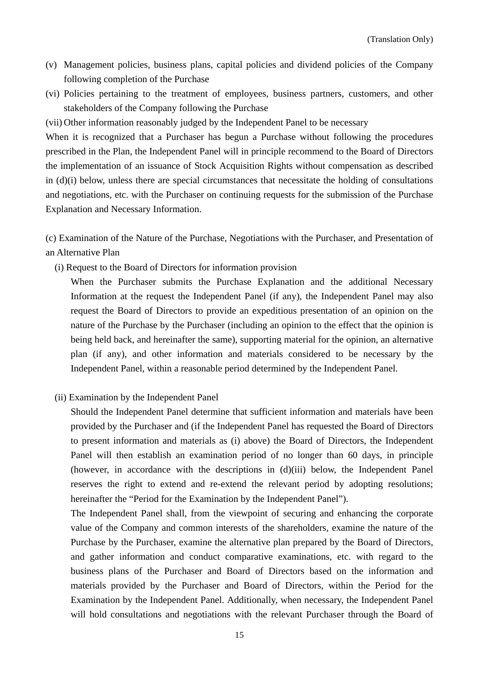- (v) Management policies, business plans, capital policies and dividend policies of the Company following completion of the Purchase
- (vi) Policies pertaining to the treatment of employees, business partners, customers, and other stakeholders of the Company following the Purchase
- (vii) Other information reasonably judged by the Independent Panel to be necessary

When it is recognized that a Purchaser has begun a Purchase without following the procedures prescribed in the Plan, the Independent Panel will in principle recommend to the Board of Directors the implementation of an issuance of Stock Acquisition Rights without compensation as described in (d)(i) below, unless there are special circumstances that necessitate the holding of consultations and negotiations, etc. with the Purchaser on continuing requests for the submission of the Purchase Explanation and Necessary Information.

(c) Examination of the Nature of the Purchase, Negotiations with the Purchaser, and Presentation of an Alternative Plan

(i) Request to the Board of Directors for information provision

 When the Purchaser submits the Purchase Explanation and the additional Necessary Information at the request the Independent Panel (if any), the Independent Panel may also request the Board of Directors to provide an expeditious presentation of an opinion on the nature of the Purchase by the Purchaser (including an opinion to the effect that the opinion is being held back, and hereinafter the same), supporting material for the opinion, an alternative plan (if any), and other information and materials considered to be necessary by the Independent Panel, within a reasonable period determined by the Independent Panel.

(ii) Examination by the Independent Panel

 Should the Independent Panel determine that sufficient information and materials have been provided by the Purchaser and (if the Independent Panel has requested the Board of Directors to present information and materials as (i) above) the Board of Directors, the Independent Panel will then establish an examination period of no longer than 60 days, in principle (however, in accordance with the descriptions in (d)(iii) below, the Independent Panel reserves the right to extend and re-extend the relevant period by adopting resolutions; hereinafter the "Period for the Examination by the Independent Panel").

 The Independent Panel shall, from the viewpoint of securing and enhancing the corporate value of the Company and common interests of the shareholders, examine the nature of the Purchase by the Purchaser, examine the alternative plan prepared by the Board of Directors, and gather information and conduct comparative examinations, etc. with regard to the business plans of the Purchaser and Board of Directors based on the information and materials provided by the Purchaser and Board of Directors, within the Period for the Examination by the Independent Panel. Additionally, when necessary, the Independent Panel will hold consultations and negotiations with the relevant Purchaser through the Board of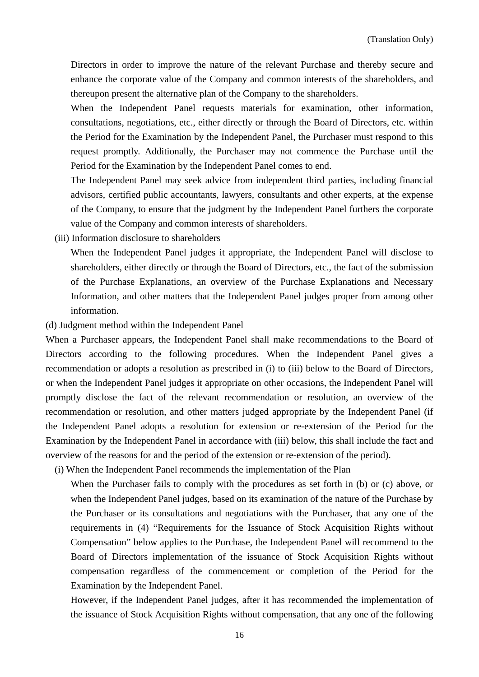Directors in order to improve the nature of the relevant Purchase and thereby secure and enhance the corporate value of the Company and common interests of the shareholders, and thereupon present the alternative plan of the Company to the shareholders.

 When the Independent Panel requests materials for examination, other information, consultations, negotiations, etc., either directly or through the Board of Directors, etc. within the Period for the Examination by the Independent Panel, the Purchaser must respond to this request promptly. Additionally, the Purchaser may not commence the Purchase until the Period for the Examination by the Independent Panel comes to end.

 The Independent Panel may seek advice from independent third parties, including financial advisors, certified public accountants, lawyers, consultants and other experts, at the expense of the Company, to ensure that the judgment by the Independent Panel furthers the corporate value of the Company and common interests of shareholders.

(iii) Information disclosure to shareholders

 When the Independent Panel judges it appropriate, the Independent Panel will disclose to shareholders, either directly or through the Board of Directors, etc., the fact of the submission of the Purchase Explanations, an overview of the Purchase Explanations and Necessary Information, and other matters that the Independent Panel judges proper from among other information.

(d) Judgment method within the Independent Panel

When a Purchaser appears, the Independent Panel shall make recommendations to the Board of Directors according to the following procedures. When the Independent Panel gives a recommendation or adopts a resolution as prescribed in (i) to (iii) below to the Board of Directors, or when the Independent Panel judges it appropriate on other occasions, the Independent Panel will promptly disclose the fact of the relevant recommendation or resolution, an overview of the recommendation or resolution, and other matters judged appropriate by the Independent Panel (if the Independent Panel adopts a resolution for extension or re-extension of the Period for the Examination by the Independent Panel in accordance with (iii) below, this shall include the fact and overview of the reasons for and the period of the extension or re-extension of the period).

(i) When the Independent Panel recommends the implementation of the Plan

When the Purchaser fails to comply with the procedures as set forth in (b) or (c) above, or when the Independent Panel judges, based on its examination of the nature of the Purchase by the Purchaser or its consultations and negotiations with the Purchaser, that any one of the requirements in (4) "Requirements for the Issuance of Stock Acquisition Rights without Compensation" below applies to the Purchase, the Independent Panel will recommend to the Board of Directors implementation of the issuance of Stock Acquisition Rights without compensation regardless of the commencement or completion of the Period for the Examination by the Independent Panel.

 However, if the Independent Panel judges, after it has recommended the implementation of the issuance of Stock Acquisition Rights without compensation, that any one of the following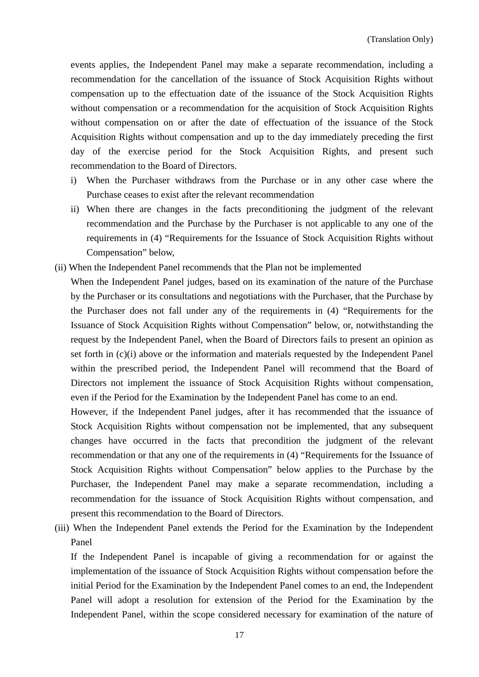events applies, the Independent Panel may make a separate recommendation, including a recommendation for the cancellation of the issuance of Stock Acquisition Rights without compensation up to the effectuation date of the issuance of the Stock Acquisition Rights without compensation or a recommendation for the acquisition of Stock Acquisition Rights without compensation on or after the date of effectuation of the issuance of the Stock Acquisition Rights without compensation and up to the day immediately preceding the first day of the exercise period for the Stock Acquisition Rights, and present such recommendation to the Board of Directors.

- i) When the Purchaser withdraws from the Purchase or in any other case where the Purchase ceases to exist after the relevant recommendation
- ii) When there are changes in the facts preconditioning the judgment of the relevant recommendation and the Purchase by the Purchaser is not applicable to any one of the requirements in (4) "Requirements for the Issuance of Stock Acquisition Rights without Compensation" below,
- (ii) When the Independent Panel recommends that the Plan not be implemented

 When the Independent Panel judges, based on its examination of the nature of the Purchase by the Purchaser or its consultations and negotiations with the Purchaser, that the Purchase by the Purchaser does not fall under any of the requirements in (4) "Requirements for the Issuance of Stock Acquisition Rights without Compensation" below, or, notwithstanding the request by the Independent Panel, when the Board of Directors fails to present an opinion as set forth in (c)(i) above or the information and materials requested by the Independent Panel within the prescribed period, the Independent Panel will recommend that the Board of Directors not implement the issuance of Stock Acquisition Rights without compensation, even if the Period for the Examination by the Independent Panel has come to an end.

 However, if the Independent Panel judges, after it has recommended that the issuance of Stock Acquisition Rights without compensation not be implemented, that any subsequent changes have occurred in the facts that precondition the judgment of the relevant recommendation or that any one of the requirements in (4) "Requirements for the Issuance of Stock Acquisition Rights without Compensation" below applies to the Purchase by the Purchaser, the Independent Panel may make a separate recommendation, including a recommendation for the issuance of Stock Acquisition Rights without compensation, and present this recommendation to the Board of Directors.

(iii) When the Independent Panel extends the Period for the Examination by the Independent Panel

 If the Independent Panel is incapable of giving a recommendation for or against the implementation of the issuance of Stock Acquisition Rights without compensation before the initial Period for the Examination by the Independent Panel comes to an end, the Independent Panel will adopt a resolution for extension of the Period for the Examination by the Independent Panel, within the scope considered necessary for examination of the nature of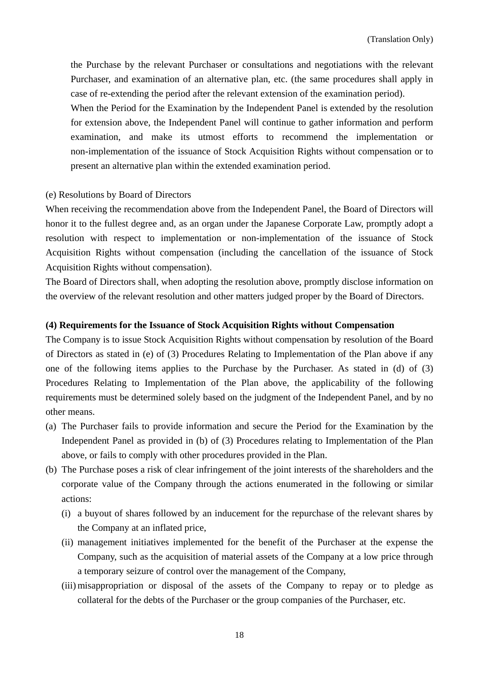the Purchase by the relevant Purchaser or consultations and negotiations with the relevant Purchaser, and examination of an alternative plan, etc. (the same procedures shall apply in case of re-extending the period after the relevant extension of the examination period).

 When the Period for the Examination by the Independent Panel is extended by the resolution for extension above, the Independent Panel will continue to gather information and perform examination, and make its utmost efforts to recommend the implementation or non-implementation of the issuance of Stock Acquisition Rights without compensation or to present an alternative plan within the extended examination period.

#### (e) Resolutions by Board of Directors

When receiving the recommendation above from the Independent Panel, the Board of Directors will honor it to the fullest degree and, as an organ under the Japanese Corporate Law, promptly adopt a resolution with respect to implementation or non-implementation of the issuance of Stock Acquisition Rights without compensation (including the cancellation of the issuance of Stock Acquisition Rights without compensation).

The Board of Directors shall, when adopting the resolution above, promptly disclose information on the overview of the relevant resolution and other matters judged proper by the Board of Directors.

#### **(4) Requirements for the Issuance of Stock Acquisition Rights without Compensation**

The Company is to issue Stock Acquisition Rights without compensation by resolution of the Board of Directors as stated in (e) of (3) Procedures Relating to Implementation of the Plan above if any one of the following items applies to the Purchase by the Purchaser. As stated in (d) of (3) Procedures Relating to Implementation of the Plan above, the applicability of the following requirements must be determined solely based on the judgment of the Independent Panel, and by no other means.

- (a) The Purchaser fails to provide information and secure the Period for the Examination by the Independent Panel as provided in (b) of (3) Procedures relating to Implementation of the Plan above, or fails to comply with other procedures provided in the Plan.
- (b) The Purchase poses a risk of clear infringement of the joint interests of the shareholders and the corporate value of the Company through the actions enumerated in the following or similar actions:
	- (i) a buyout of shares followed by an inducement for the repurchase of the relevant shares by the Company at an inflated price,
	- (ii) management initiatives implemented for the benefit of the Purchaser at the expense the Company, such as the acquisition of material assets of the Company at a low price through a temporary seizure of control over the management of the Company,
	- (iii) misappropriation or disposal of the assets of the Company to repay or to pledge as collateral for the debts of the Purchaser or the group companies of the Purchaser, etc.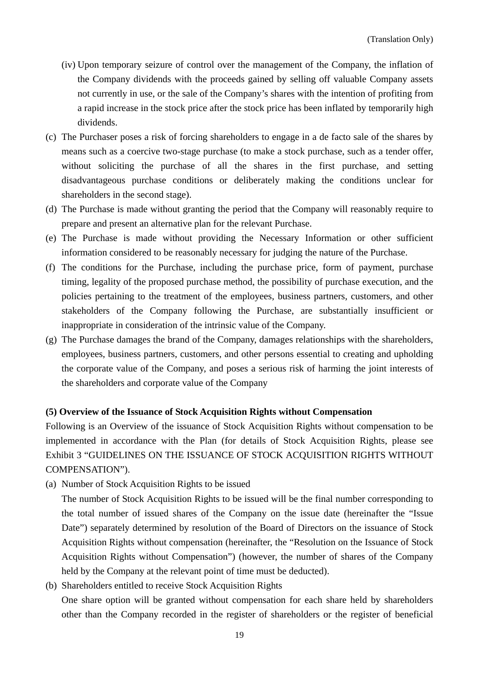- (iv) Upon temporary seizure of control over the management of the Company, the inflation of the Company dividends with the proceeds gained by selling off valuable Company assets not currently in use, or the sale of the Company's shares with the intention of profiting from a rapid increase in the stock price after the stock price has been inflated by temporarily high dividends.
- (c) The Purchaser poses a risk of forcing shareholders to engage in a de facto sale of the shares by means such as a coercive two-stage purchase (to make a stock purchase, such as a tender offer, without soliciting the purchase of all the shares in the first purchase, and setting disadvantageous purchase conditions or deliberately making the conditions unclear for shareholders in the second stage).
- (d) The Purchase is made without granting the period that the Company will reasonably require to prepare and present an alternative plan for the relevant Purchase.
- (e) The Purchase is made without providing the Necessary Information or other sufficient information considered to be reasonably necessary for judging the nature of the Purchase.
- (f) The conditions for the Purchase, including the purchase price, form of payment, purchase timing, legality of the proposed purchase method, the possibility of purchase execution, and the policies pertaining to the treatment of the employees, business partners, customers, and other stakeholders of the Company following the Purchase, are substantially insufficient or inappropriate in consideration of the intrinsic value of the Company.
- (g) The Purchase damages the brand of the Company, damages relationships with the shareholders, employees, business partners, customers, and other persons essential to creating and upholding the corporate value of the Company, and poses a serious risk of harming the joint interests of the shareholders and corporate value of the Company

#### **(5) Overview of the Issuance of Stock Acquisition Rights without Compensation**

Following is an Overview of the issuance of Stock Acquisition Rights without compensation to be implemented in accordance with the Plan (for details of Stock Acquisition Rights, please see Exhibit 3 "GUIDELINES ON THE ISSUANCE OF STOCK ACQUISITION RIGHTS WITHOUT COMPENSATION").

(a) Number of Stock Acquisition Rights to be issued

 The number of Stock Acquisition Rights to be issued will be the final number corresponding to the total number of issued shares of the Company on the issue date (hereinafter the "Issue Date") separately determined by resolution of the Board of Directors on the issuance of Stock Acquisition Rights without compensation (hereinafter, the "Resolution on the Issuance of Stock Acquisition Rights without Compensation") (however, the number of shares of the Company held by the Company at the relevant point of time must be deducted).

(b) Shareholders entitled to receive Stock Acquisition Rights

 One share option will be granted without compensation for each share held by shareholders other than the Company recorded in the register of shareholders or the register of beneficial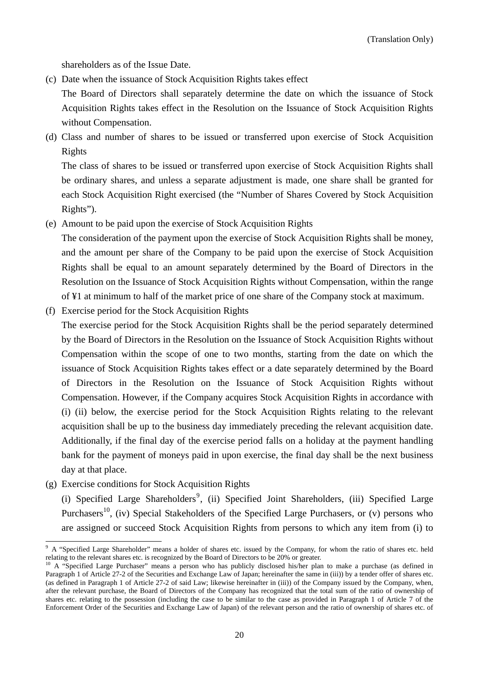shareholders as of the Issue Date.

(c) Date when the issuance of Stock Acquisition Rights takes effect

 The Board of Directors shall separately determine the date on which the issuance of Stock Acquisition Rights takes effect in the Resolution on the Issuance of Stock Acquisition Rights without Compensation.

(d) Class and number of shares to be issued or transferred upon exercise of Stock Acquisition Rights

 The class of shares to be issued or transferred upon exercise of Stock Acquisition Rights shall be ordinary shares, and unless a separate adjustment is made, one share shall be granted for each Stock Acquisition Right exercised (the "Number of Shares Covered by Stock Acquisition Rights").

(e) Amount to be paid upon the exercise of Stock Acquisition Rights

 The consideration of the payment upon the exercise of Stock Acquisition Rights shall be money, and the amount per share of the Company to be paid upon the exercise of Stock Acquisition Rights shall be equal to an amount separately determined by the Board of Directors in the Resolution on the Issuance of Stock Acquisition Rights without Compensation, within the range of ¥1 at minimum to half of the market price of one share of the Company stock at maximum.

(f) Exercise period for the Stock Acquisition Rights

 The exercise period for the Stock Acquisition Rights shall be the period separately determined by the Board of Directors in the Resolution on the Issuance of Stock Acquisition Rights without Compensation within the scope of one to two months, starting from the date on which the issuance of Stock Acquisition Rights takes effect or a date separately determined by the Board of Directors in the Resolution on the Issuance of Stock Acquisition Rights without Compensation. However, if the Company acquires Stock Acquisition Rights in accordance with (i) (ii) below, the exercise period for the Stock Acquisition Rights relating to the relevant acquisition shall be up to the business day immediately preceding the relevant acquisition date. Additionally, if the final day of the exercise period falls on a holiday at the payment handling bank for the payment of moneys paid in upon exercise, the final day shall be the next business day at that place.

(g) Exercise conditions for Stock Acquisition Rights

(i) Specified Large Shareholders<sup>9</sup>, (ii) Specified Joint Shareholders, (iii) Specified Large Purchasers<sup>10</sup>, (iv) Special Stakeholders of the Specified Large Purchasers, or (v) persons who are assigned or succeed Stock Acquisition Rights from persons to which any item from (i) to

<sup>&</sup>lt;sup>9</sup> A "Specified Large Shareholder" means a holder of shares etc. issued by the Company, for whom the ratio of shares etc. held relating to the relevant shares etc. is recognized by the Board of Directors to be 20% or greater.

<sup>&</sup>lt;sup>10</sup> A "Specified Large Purchaser" means a person who has publicly disclosed his/her plan to make a purchase (as defined in Paragraph 1 of Article 27-2 of the Securities and Exchange Law of Japan; hereinafter the same in (iii)) by a tender offer of shares etc. (as defined in Paragraph 1 of Article 27-2 of said Law; likewise hereinafter in (iii)) of the Company issued by the Company, when, after the relevant purchase, the Board of Directors of the Company has recognized that the total sum of the ratio of ownership of shares etc. relating to the possession (including the case to be similar to the case as provided in Paragraph 1 of Article 7 of the Enforcement Order of the Securities and Exchange Law of Japan) of the relevant person and the ratio of ownership of shares etc. of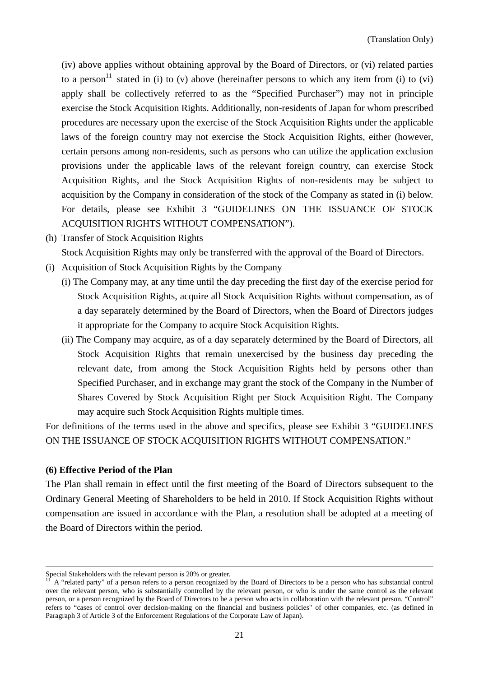(iv) above applies without obtaining approval by the Board of Directors, or (vi) related parties to a person<sup>11</sup> stated in (i) to (v) above (hereinafter persons to which any item from (i) to (vi) apply shall be collectively referred to as the "Specified Purchaser") may not in principle exercise the Stock Acquisition Rights. Additionally, non-residents of Japan for whom prescribed procedures are necessary upon the exercise of the Stock Acquisition Rights under the applicable laws of the foreign country may not exercise the Stock Acquisition Rights, either (however, certain persons among non-residents, such as persons who can utilize the application exclusion provisions under the applicable laws of the relevant foreign country, can exercise Stock Acquisition Rights, and the Stock Acquisition Rights of non-residents may be subject to acquisition by the Company in consideration of the stock of the Company as stated in (i) below. For details, please see Exhibit 3 "GUIDELINES ON THE ISSUANCE OF STOCK ACQUISITION RIGHTS WITHOUT COMPENSATION").

(h) Transfer of Stock Acquisition Rights

Stock Acquisition Rights may only be transferred with the approval of the Board of Directors.

- (i) Acquisition of Stock Acquisition Rights by the Company
	- (i) The Company may, at any time until the day preceding the first day of the exercise period for Stock Acquisition Rights, acquire all Stock Acquisition Rights without compensation, as of a day separately determined by the Board of Directors, when the Board of Directors judges it appropriate for the Company to acquire Stock Acquisition Rights.
	- (ii) The Company may acquire, as of a day separately determined by the Board of Directors, all Stock Acquisition Rights that remain unexercised by the business day preceding the relevant date, from among the Stock Acquisition Rights held by persons other than Specified Purchaser, and in exchange may grant the stock of the Company in the Number of Shares Covered by Stock Acquisition Right per Stock Acquisition Right. The Company may acquire such Stock Acquisition Rights multiple times.

For definitions of the terms used in the above and specifics, please see Exhibit 3 "GUIDELINES ON THE ISSUANCE OF STOCK ACQUISITION RIGHTS WITHOUT COMPENSATION."

#### **(6) Effective Period of the Plan**

The Plan shall remain in effect until the first meeting of the Board of Directors subsequent to the Ordinary General Meeting of Shareholders to be held in 2010. If Stock Acquisition Rights without compensation are issued in accordance with the Plan, a resolution shall be adopted at a meeting of the Board of Directors within the period.

Special Stakeholders with the relevant person is 20% or greater.

A "related party" of a person refers to a person recognized by the Board of Directors to be a person who has substantial control over the relevant person, who is substantially controlled by the relevant person, or who is under the same control as the relevant person, or a person recognized by the Board of Directors to be a person who acts in collaboration with the relevant person. "Control" refers to "cases of control over decision-making on the financial and business policies" of other companies, etc. (as defined in Paragraph 3 of Article 3 of the Enforcement Regulations of the Corporate Law of Japan).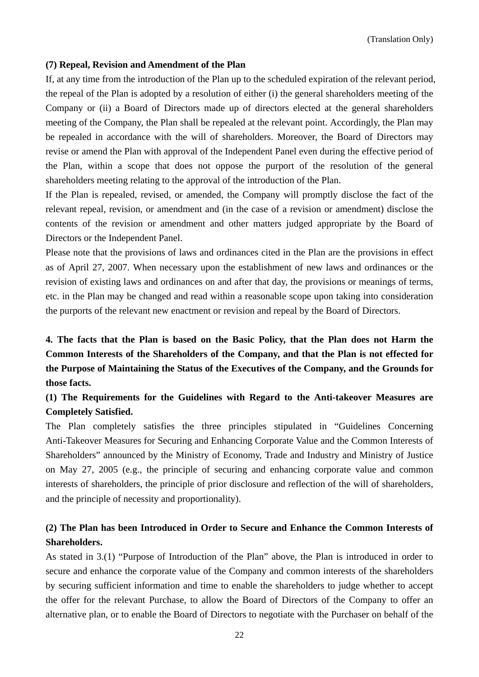#### **(7) Repeal, Revision and Amendment of the Plan**

If, at any time from the introduction of the Plan up to the scheduled expiration of the relevant period, the repeal of the Plan is adopted by a resolution of either (i) the general shareholders meeting of the Company or (ii) a Board of Directors made up of directors elected at the general shareholders meeting of the Company, the Plan shall be repealed at the relevant point. Accordingly, the Plan may be repealed in accordance with the will of shareholders. Moreover, the Board of Directors may revise or amend the Plan with approval of the Independent Panel even during the effective period of the Plan, within a scope that does not oppose the purport of the resolution of the general shareholders meeting relating to the approval of the introduction of the Plan.

If the Plan is repealed, revised, or amended, the Company will promptly disclose the fact of the relevant repeal, revision, or amendment and (in the case of a revision or amendment) disclose the contents of the revision or amendment and other matters judged appropriate by the Board of Directors or the Independent Panel.

Please note that the provisions of laws and ordinances cited in the Plan are the provisions in effect as of April 27, 2007. When necessary upon the establishment of new laws and ordinances or the revision of existing laws and ordinances on and after that day, the provisions or meanings of terms, etc. in the Plan may be changed and read within a reasonable scope upon taking into consideration the purports of the relevant new enactment or revision and repeal by the Board of Directors.

**4. The facts that the Plan is based on the Basic Policy, that the Plan does not Harm the Common Interests of the Shareholders of the Company, and that the Plan is not effected for the Purpose of Maintaining the Status of the Executives of the Company, and the Grounds for those facts.** 

**(1) The Requirements for the Guidelines with Regard to the Anti-takeover Measures are Completely Satisfied.** 

The Plan completely satisfies the three principles stipulated in "Guidelines Concerning Anti-Takeover Measures for Securing and Enhancing Corporate Value and the Common Interests of Shareholders" announced by the Ministry of Economy, Trade and Industry and Ministry of Justice on May 27, 2005 (e.g., the principle of securing and enhancing corporate value and common interests of shareholders, the principle of prior disclosure and reflection of the will of shareholders, and the principle of necessity and proportionality).

# **(2) The Plan has been Introduced in Order to Secure and Enhance the Common Interests of Shareholders.**

As stated in 3.(1) "Purpose of Introduction of the Plan" above, the Plan is introduced in order to secure and enhance the corporate value of the Company and common interests of the shareholders by securing sufficient information and time to enable the shareholders to judge whether to accept the offer for the relevant Purchase, to allow the Board of Directors of the Company to offer an alternative plan, or to enable the Board of Directors to negotiate with the Purchaser on behalf of the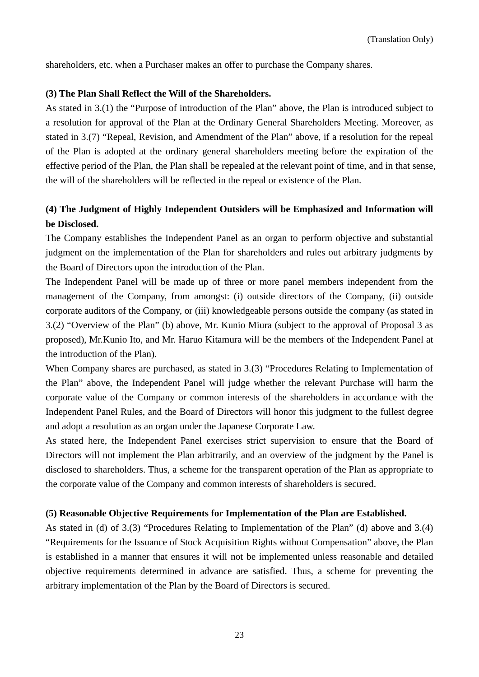shareholders, etc. when a Purchaser makes an offer to purchase the Company shares.

#### **(3) The Plan Shall Reflect the Will of the Shareholders.**

As stated in 3.(1) the "Purpose of introduction of the Plan" above, the Plan is introduced subject to a resolution for approval of the Plan at the Ordinary General Shareholders Meeting. Moreover, as stated in 3.(7) "Repeal, Revision, and Amendment of the Plan" above, if a resolution for the repeal of the Plan is adopted at the ordinary general shareholders meeting before the expiration of the effective period of the Plan, the Plan shall be repealed at the relevant point of time, and in that sense, the will of the shareholders will be reflected in the repeal or existence of the Plan.

## **(4) The Judgment of Highly Independent Outsiders will be Emphasized and Information will be Disclosed.**

The Company establishes the Independent Panel as an organ to perform objective and substantial judgment on the implementation of the Plan for shareholders and rules out arbitrary judgments by the Board of Directors upon the introduction of the Plan.

The Independent Panel will be made up of three or more panel members independent from the management of the Company, from amongst: (i) outside directors of the Company, (ii) outside corporate auditors of the Company, or (iii) knowledgeable persons outside the company (as stated in 3.(2) "Overview of the Plan" (b) above, Mr. Kunio Miura (subject to the approval of Proposal 3 as proposed), Mr.Kunio Ito, and Mr. Haruo Kitamura will be the members of the Independent Panel at the introduction of the Plan).

When Company shares are purchased, as stated in 3.(3) "Procedures Relating to Implementation of the Plan" above, the Independent Panel will judge whether the relevant Purchase will harm the corporate value of the Company or common interests of the shareholders in accordance with the Independent Panel Rules, and the Board of Directors will honor this judgment to the fullest degree and adopt a resolution as an organ under the Japanese Corporate Law.

As stated here, the Independent Panel exercises strict supervision to ensure that the Board of Directors will not implement the Plan arbitrarily, and an overview of the judgment by the Panel is disclosed to shareholders. Thus, a scheme for the transparent operation of the Plan as appropriate to the corporate value of the Company and common interests of shareholders is secured.

#### **(5) Reasonable Objective Requirements for Implementation of the Plan are Established.**

As stated in (d) of 3.(3) "Procedures Relating to Implementation of the Plan" (d) above and 3.(4) "Requirements for the Issuance of Stock Acquisition Rights without Compensation" above, the Plan is established in a manner that ensures it will not be implemented unless reasonable and detailed objective requirements determined in advance are satisfied. Thus, a scheme for preventing the arbitrary implementation of the Plan by the Board of Directors is secured.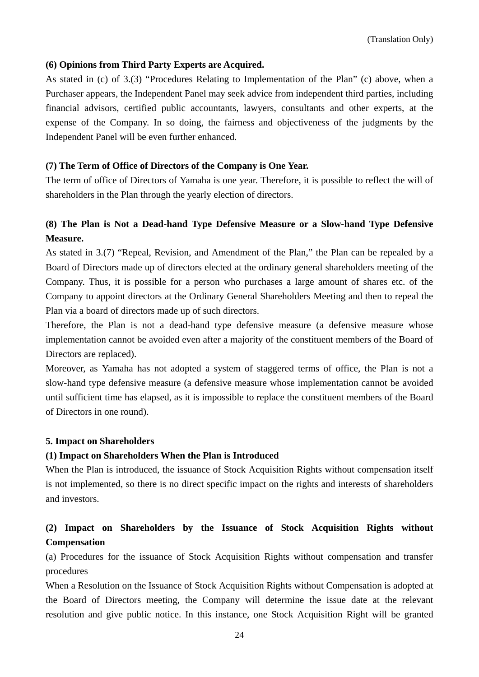## **(6) Opinions from Third Party Experts are Acquired.**

As stated in (c) of 3.(3) "Procedures Relating to Implementation of the Plan" (c) above, when a Purchaser appears, the Independent Panel may seek advice from independent third parties, including financial advisors, certified public accountants, lawyers, consultants and other experts, at the expense of the Company. In so doing, the fairness and objectiveness of the judgments by the Independent Panel will be even further enhanced.

## **(7) The Term of Office of Directors of the Company is One Year.**

The term of office of Directors of Yamaha is one year. Therefore, it is possible to reflect the will of shareholders in the Plan through the yearly election of directors.

# **(8) The Plan is Not a Dead-hand Type Defensive Measure or a Slow-hand Type Defensive Measure.**

As stated in 3.(7) "Repeal, Revision, and Amendment of the Plan," the Plan can be repealed by a Board of Directors made up of directors elected at the ordinary general shareholders meeting of the Company. Thus, it is possible for a person who purchases a large amount of shares etc. of the Company to appoint directors at the Ordinary General Shareholders Meeting and then to repeal the Plan via a board of directors made up of such directors.

Therefore, the Plan is not a dead-hand type defensive measure (a defensive measure whose implementation cannot be avoided even after a majority of the constituent members of the Board of Directors are replaced).

Moreover, as Yamaha has not adopted a system of staggered terms of office, the Plan is not a slow-hand type defensive measure (a defensive measure whose implementation cannot be avoided until sufficient time has elapsed, as it is impossible to replace the constituent members of the Board of Directors in one round).

#### **5. Impact on Shareholders**

#### **(1) Impact on Shareholders When the Plan is Introduced**

When the Plan is introduced, the issuance of Stock Acquisition Rights without compensation itself is not implemented, so there is no direct specific impact on the rights and interests of shareholders and investors.

# **(2) Impact on Shareholders by the Issuance of Stock Acquisition Rights without Compensation**

(a) Procedures for the issuance of Stock Acquisition Rights without compensation and transfer procedures

When a Resolution on the Issuance of Stock Acquisition Rights without Compensation is adopted at the Board of Directors meeting, the Company will determine the issue date at the relevant resolution and give public notice. In this instance, one Stock Acquisition Right will be granted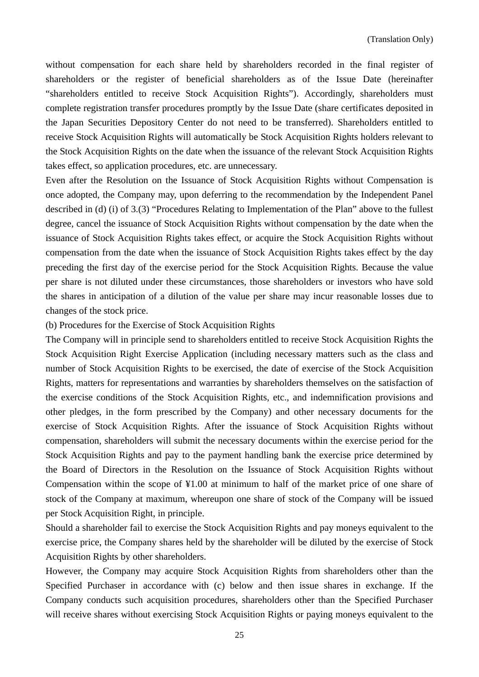without compensation for each share held by shareholders recorded in the final register of shareholders or the register of beneficial shareholders as of the Issue Date (hereinafter "shareholders entitled to receive Stock Acquisition Rights"). Accordingly, shareholders must complete registration transfer procedures promptly by the Issue Date (share certificates deposited in the Japan Securities Depository Center do not need to be transferred). Shareholders entitled to receive Stock Acquisition Rights will automatically be Stock Acquisition Rights holders relevant to the Stock Acquisition Rights on the date when the issuance of the relevant Stock Acquisition Rights takes effect, so application procedures, etc. are unnecessary.

Even after the Resolution on the Issuance of Stock Acquisition Rights without Compensation is once adopted, the Company may, upon deferring to the recommendation by the Independent Panel described in (d) (i) of 3.(3) "Procedures Relating to Implementation of the Plan" above to the fullest degree, cancel the issuance of Stock Acquisition Rights without compensation by the date when the issuance of Stock Acquisition Rights takes effect, or acquire the Stock Acquisition Rights without compensation from the date when the issuance of Stock Acquisition Rights takes effect by the day preceding the first day of the exercise period for the Stock Acquisition Rights. Because the value per share is not diluted under these circumstances, those shareholders or investors who have sold the shares in anticipation of a dilution of the value per share may incur reasonable losses due to changes of the stock price.

(b) Procedures for the Exercise of Stock Acquisition Rights

The Company will in principle send to shareholders entitled to receive Stock Acquisition Rights the Stock Acquisition Right Exercise Application (including necessary matters such as the class and number of Stock Acquisition Rights to be exercised, the date of exercise of the Stock Acquisition Rights, matters for representations and warranties by shareholders themselves on the satisfaction of the exercise conditions of the Stock Acquisition Rights, etc., and indemnification provisions and other pledges, in the form prescribed by the Company) and other necessary documents for the exercise of Stock Acquisition Rights. After the issuance of Stock Acquisition Rights without compensation, shareholders will submit the necessary documents within the exercise period for the Stock Acquisition Rights and pay to the payment handling bank the exercise price determined by the Board of Directors in the Resolution on the Issuance of Stock Acquisition Rights without Compensation within the scope of ¥1.00 at minimum to half of the market price of one share of stock of the Company at maximum, whereupon one share of stock of the Company will be issued per Stock Acquisition Right, in principle.

Should a shareholder fail to exercise the Stock Acquisition Rights and pay moneys equivalent to the exercise price, the Company shares held by the shareholder will be diluted by the exercise of Stock Acquisition Rights by other shareholders.

However, the Company may acquire Stock Acquisition Rights from shareholders other than the Specified Purchaser in accordance with (c) below and then issue shares in exchange. If the Company conducts such acquisition procedures, shareholders other than the Specified Purchaser will receive shares without exercising Stock Acquisition Rights or paying moneys equivalent to the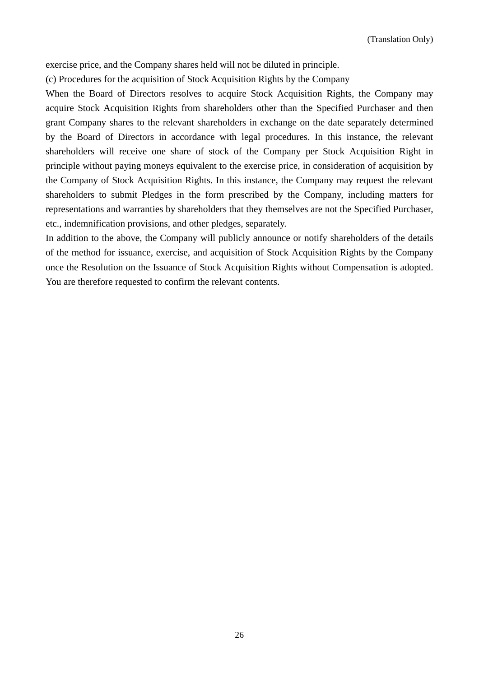exercise price, and the Company shares held will not be diluted in principle.

(c) Procedures for the acquisition of Stock Acquisition Rights by the Company

When the Board of Directors resolves to acquire Stock Acquisition Rights, the Company may acquire Stock Acquisition Rights from shareholders other than the Specified Purchaser and then grant Company shares to the relevant shareholders in exchange on the date separately determined by the Board of Directors in accordance with legal procedures. In this instance, the relevant shareholders will receive one share of stock of the Company per Stock Acquisition Right in principle without paying moneys equivalent to the exercise price, in consideration of acquisition by the Company of Stock Acquisition Rights. In this instance, the Company may request the relevant shareholders to submit Pledges in the form prescribed by the Company, including matters for representations and warranties by shareholders that they themselves are not the Specified Purchaser, etc., indemnification provisions, and other pledges, separately.

In addition to the above, the Company will publicly announce or notify shareholders of the details of the method for issuance, exercise, and acquisition of Stock Acquisition Rights by the Company once the Resolution on the Issuance of Stock Acquisition Rights without Compensation is adopted. You are therefore requested to confirm the relevant contents.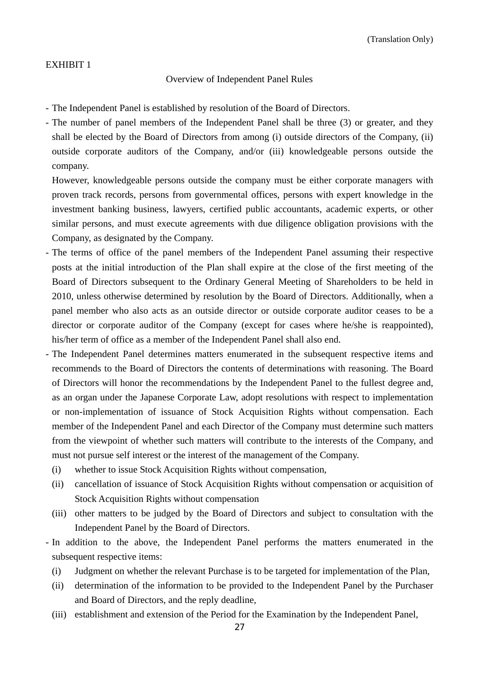#### EXHIBIT 1

#### Overview of Independent Panel Rules

- The Independent Panel is established by resolution of the Board of Directors.
- The number of panel members of the Independent Panel shall be three (3) or greater, and they shall be elected by the Board of Directors from among (i) outside directors of the Company, (ii) outside corporate auditors of the Company, and/or (iii) knowledgeable persons outside the company.

 However, knowledgeable persons outside the company must be either corporate managers with proven track records, persons from governmental offices, persons with expert knowledge in the investment banking business, lawyers, certified public accountants, academic experts, or other similar persons, and must execute agreements with due diligence obligation provisions with the Company, as designated by the Company.

- The terms of office of the panel members of the Independent Panel assuming their respective posts at the initial introduction of the Plan shall expire at the close of the first meeting of the Board of Directors subsequent to the Ordinary General Meeting of Shareholders to be held in 2010, unless otherwise determined by resolution by the Board of Directors. Additionally, when a panel member who also acts as an outside director or outside corporate auditor ceases to be a director or corporate auditor of the Company (except for cases where he/she is reappointed), his/her term of office as a member of the Independent Panel shall also end.
- The Independent Panel determines matters enumerated in the subsequent respective items and recommends to the Board of Directors the contents of determinations with reasoning. The Board of Directors will honor the recommendations by the Independent Panel to the fullest degree and, as an organ under the Japanese Corporate Law, adopt resolutions with respect to implementation or non-implementation of issuance of Stock Acquisition Rights without compensation. Each member of the Independent Panel and each Director of the Company must determine such matters from the viewpoint of whether such matters will contribute to the interests of the Company, and must not pursue self interest or the interest of the management of the Company.
	- (i) whether to issue Stock Acquisition Rights without compensation,
	- (ii) cancellation of issuance of Stock Acquisition Rights without compensation or acquisition of Stock Acquisition Rights without compensation
	- (iii) other matters to be judged by the Board of Directors and subject to consultation with the Independent Panel by the Board of Directors.
- In addition to the above, the Independent Panel performs the matters enumerated in the subsequent respective items:
	- (i) Judgment on whether the relevant Purchase is to be targeted for implementation of the Plan,
	- (ii) determination of the information to be provided to the Independent Panel by the Purchaser and Board of Directors, and the reply deadline,
	- (iii) establishment and extension of the Period for the Examination by the Independent Panel,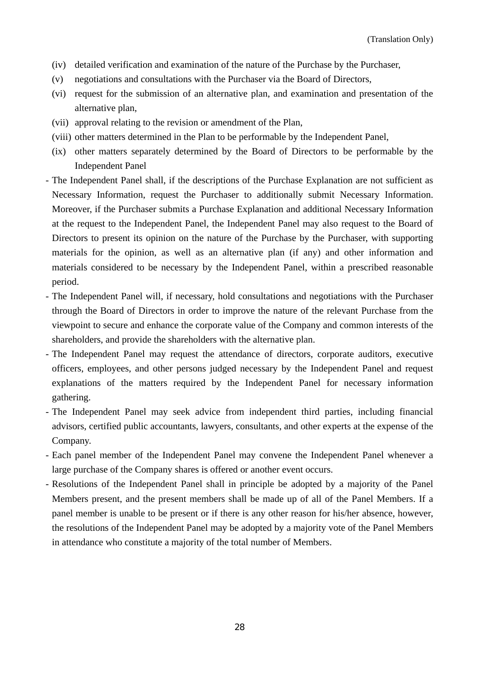- (iv) detailed verification and examination of the nature of the Purchase by the Purchaser,
- (v) negotiations and consultations with the Purchaser via the Board of Directors,
- (vi) request for the submission of an alternative plan, and examination and presentation of the alternative plan,
- (vii) approval relating to the revision or amendment of the Plan,
- (viii) other matters determined in the Plan to be performable by the Independent Panel,
- (ix) other matters separately determined by the Board of Directors to be performable by the Independent Panel
- The Independent Panel shall, if the descriptions of the Purchase Explanation are not sufficient as Necessary Information, request the Purchaser to additionally submit Necessary Information. Moreover, if the Purchaser submits a Purchase Explanation and additional Necessary Information at the request to the Independent Panel, the Independent Panel may also request to the Board of Directors to present its opinion on the nature of the Purchase by the Purchaser, with supporting materials for the opinion, as well as an alternative plan (if any) and other information and materials considered to be necessary by the Independent Panel, within a prescribed reasonable period.
- The Independent Panel will, if necessary, hold consultations and negotiations with the Purchaser through the Board of Directors in order to improve the nature of the relevant Purchase from the viewpoint to secure and enhance the corporate value of the Company and common interests of the shareholders, and provide the shareholders with the alternative plan.
- The Independent Panel may request the attendance of directors, corporate auditors, executive officers, employees, and other persons judged necessary by the Independent Panel and request explanations of the matters required by the Independent Panel for necessary information gathering.
- The Independent Panel may seek advice from independent third parties, including financial advisors, certified public accountants, lawyers, consultants, and other experts at the expense of the Company.
- Each panel member of the Independent Panel may convene the Independent Panel whenever a large purchase of the Company shares is offered or another event occurs.
- Resolutions of the Independent Panel shall in principle be adopted by a majority of the Panel Members present, and the present members shall be made up of all of the Panel Members. If a panel member is unable to be present or if there is any other reason for his/her absence, however, the resolutions of the Independent Panel may be adopted by a majority vote of the Panel Members in attendance who constitute a majority of the total number of Members.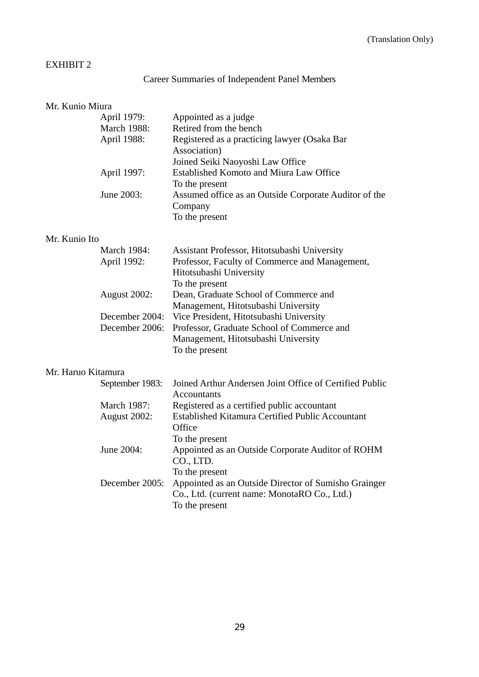# EXHIBIT 2

# Career Summaries of Independent Panel Members

| Mr. Kunio Miura    |                                           |                                                                                                                                                |
|--------------------|-------------------------------------------|------------------------------------------------------------------------------------------------------------------------------------------------|
|                    | April 1979:<br>March 1988:<br>April 1988: | Appointed as a judge<br>Retired from the bench<br>Registered as a practicing lawyer (Osaka Bar                                                 |
|                    |                                           | Association)<br>Joined Seiki Naoyoshi Law Office                                                                                               |
|                    | April 1997:                               | <b>Established Komoto and Miura Law Office</b><br>To the present                                                                               |
|                    | June 2003:                                | Assumed office as an Outside Corporate Auditor of the<br>Company<br>To the present                                                             |
| Mr. Kunio Ito      |                                           |                                                                                                                                                |
|                    | <b>March 1984:</b>                        | Assistant Professor, Hitotsubashi University                                                                                                   |
|                    | April 1992:                               | Professor, Faculty of Commerce and Management,<br>Hitotsubashi University<br>To the present                                                    |
|                    | August 2002:                              | Dean, Graduate School of Commerce and<br>Management, Hitotsubashi University                                                                   |
|                    | December 2004:<br>December 2006:          | Vice President, Hitotsubashi University<br>Professor, Graduate School of Commerce and<br>Management, Hitotsubashi University<br>To the present |
| Mr. Haruo Kitamura |                                           |                                                                                                                                                |
|                    | September 1983:                           | Joined Arthur Andersen Joint Office of Certified Public<br><b>Accountants</b>                                                                  |
|                    | <b>March 1987:</b><br>August 2002:        | Registered as a certified public accountant<br><b>Established Kitamura Certified Public Accountant</b><br>Office<br>To the present             |
|                    | June 2004:                                | Appointed as an Outside Corporate Auditor of ROHM<br>CO., LTD.<br>To the present                                                               |
|                    | December 2005:                            | Appointed as an Outside Director of Sumisho Grainger<br>Co., Ltd. (current name: MonotaRO Co., Ltd.)<br>To the present                         |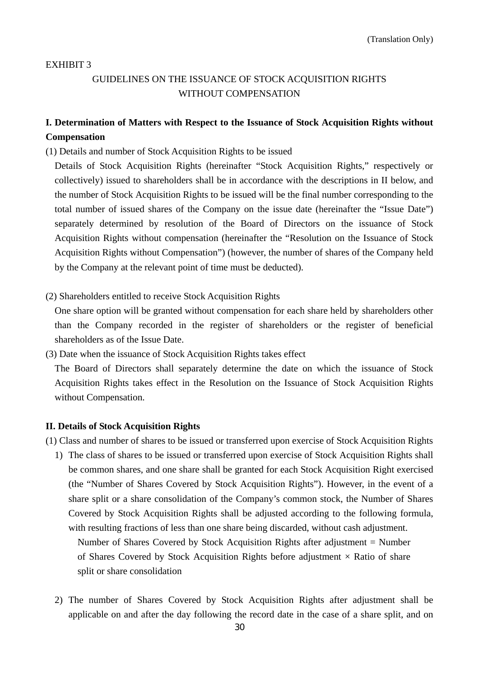#### EXHIBIT 3

# GUIDELINES ON THE ISSUANCE OF STOCK ACQUISITION RIGHTS WITHOUT COMPENSATION

## **I. Determination of Matters with Respect to the Issuance of Stock Acquisition Rights without Compensation**

(1) Details and number of Stock Acquisition Rights to be issued

Details of Stock Acquisition Rights (hereinafter "Stock Acquisition Rights," respectively or collectively) issued to shareholders shall be in accordance with the descriptions in II below, and the number of Stock Acquisition Rights to be issued will be the final number corresponding to the total number of issued shares of the Company on the issue date (hereinafter the "Issue Date") separately determined by resolution of the Board of Directors on the issuance of Stock Acquisition Rights without compensation (hereinafter the "Resolution on the Issuance of Stock Acquisition Rights without Compensation") (however, the number of shares of the Company held by the Company at the relevant point of time must be deducted).

(2) Shareholders entitled to receive Stock Acquisition Rights

One share option will be granted without compensation for each share held by shareholders other than the Company recorded in the register of shareholders or the register of beneficial shareholders as of the Issue Date.

(3) Date when the issuance of Stock Acquisition Rights takes effect

The Board of Directors shall separately determine the date on which the issuance of Stock Acquisition Rights takes effect in the Resolution on the Issuance of Stock Acquisition Rights without Compensation.

#### **II. Details of Stock Acquisition Rights**

(1) Class and number of shares to be issued or transferred upon exercise of Stock Acquisition Rights

- 1) The class of shares to be issued or transferred upon exercise of Stock Acquisition Rights shall be common shares, and one share shall be granted for each Stock Acquisition Right exercised (the "Number of Shares Covered by Stock Acquisition Rights"). However, in the event of a share split or a share consolidation of the Company's common stock, the Number of Shares Covered by Stock Acquisition Rights shall be adjusted according to the following formula, with resulting fractions of less than one share being discarded, without cash adjustment. Number of Shares Covered by Stock Acquisition Rights after adjustment = Number of Shares Covered by Stock Acquisition Rights before adjustment  $\times$  Ratio of share split or share consolidation
- 2) The number of Shares Covered by Stock Acquisition Rights after adjustment shall be applicable on and after the day following the record date in the case of a share split, and on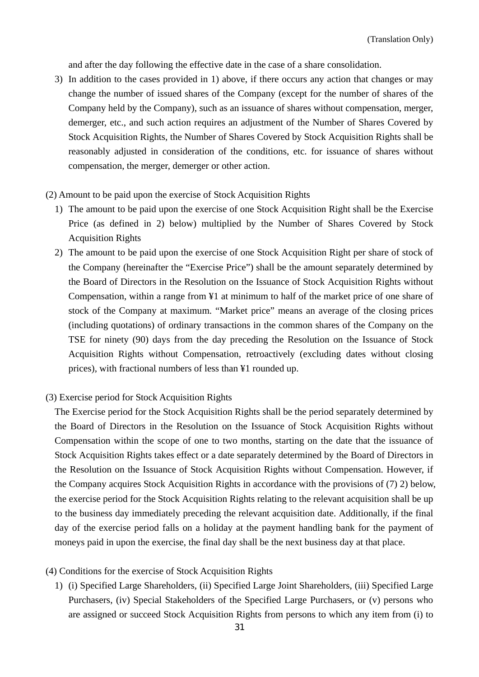and after the day following the effective date in the case of a share consolidation.

- 3) In addition to the cases provided in 1) above, if there occurs any action that changes or may change the number of issued shares of the Company (except for the number of shares of the Company held by the Company), such as an issuance of shares without compensation, merger, demerger, etc., and such action requires an adjustment of the Number of Shares Covered by Stock Acquisition Rights, the Number of Shares Covered by Stock Acquisition Rights shall be reasonably adjusted in consideration of the conditions, etc. for issuance of shares without compensation, the merger, demerger or other action.
- (2) Amount to be paid upon the exercise of Stock Acquisition Rights
	- 1) The amount to be paid upon the exercise of one Stock Acquisition Right shall be the Exercise Price (as defined in 2) below) multiplied by the Number of Shares Covered by Stock Acquisition Rights
	- 2) The amount to be paid upon the exercise of one Stock Acquisition Right per share of stock of the Company (hereinafter the "Exercise Price") shall be the amount separately determined by the Board of Directors in the Resolution on the Issuance of Stock Acquisition Rights without Compensation, within a range from ¥1 at minimum to half of the market price of one share of stock of the Company at maximum. "Market price" means an average of the closing prices (including quotations) of ordinary transactions in the common shares of the Company on the TSE for ninety (90) days from the day preceding the Resolution on the Issuance of Stock Acquisition Rights without Compensation, retroactively (excluding dates without closing prices), with fractional numbers of less than ¥1 rounded up.
- (3) Exercise period for Stock Acquisition Rights

The Exercise period for the Stock Acquisition Rights shall be the period separately determined by the Board of Directors in the Resolution on the Issuance of Stock Acquisition Rights without Compensation within the scope of one to two months, starting on the date that the issuance of Stock Acquisition Rights takes effect or a date separately determined by the Board of Directors in the Resolution on the Issuance of Stock Acquisition Rights without Compensation. However, if the Company acquires Stock Acquisition Rights in accordance with the provisions of (7) 2) below, the exercise period for the Stock Acquisition Rights relating to the relevant acquisition shall be up to the business day immediately preceding the relevant acquisition date. Additionally, if the final day of the exercise period falls on a holiday at the payment handling bank for the payment of moneys paid in upon the exercise, the final day shall be the next business day at that place.

- (4) Conditions for the exercise of Stock Acquisition Rights
	- 1) (i) Specified Large Shareholders, (ii) Specified Large Joint Shareholders, (iii) Specified Large Purchasers, (iv) Special Stakeholders of the Specified Large Purchasers, or (v) persons who are assigned or succeed Stock Acquisition Rights from persons to which any item from (i) to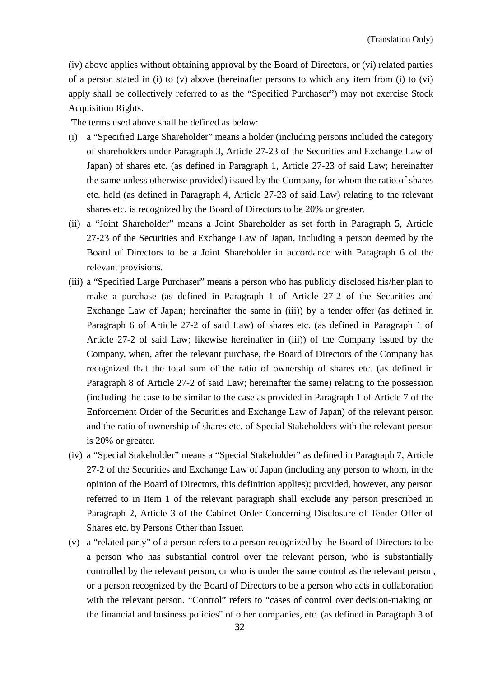(iv) above applies without obtaining approval by the Board of Directors, or (vi) related parties of a person stated in (i) to (v) above (hereinafter persons to which any item from (i) to (vi) apply shall be collectively referred to as the "Specified Purchaser") may not exercise Stock Acquisition Rights.

The terms used above shall be defined as below:

- (i) a "Specified Large Shareholder" means a holder (including persons included the category of shareholders under Paragraph 3, Article 27-23 of the Securities and Exchange Law of Japan) of shares etc. (as defined in Paragraph 1, Article 27-23 of said Law; hereinafter the same unless otherwise provided) issued by the Company, for whom the ratio of shares etc. held (as defined in Paragraph 4, Article 27-23 of said Law) relating to the relevant shares etc. is recognized by the Board of Directors to be 20% or greater.
- (ii) a "Joint Shareholder" means a Joint Shareholder as set forth in Paragraph 5, Article 27-23 of the Securities and Exchange Law of Japan, including a person deemed by the Board of Directors to be a Joint Shareholder in accordance with Paragraph 6 of the relevant provisions.
- (iii) a "Specified Large Purchaser" means a person who has publicly disclosed his/her plan to make a purchase (as defined in Paragraph 1 of Article 27-2 of the Securities and Exchange Law of Japan; hereinafter the same in (iii)) by a tender offer (as defined in Paragraph 6 of Article 27-2 of said Law) of shares etc. (as defined in Paragraph 1 of Article 27-2 of said Law; likewise hereinafter in (iii)) of the Company issued by the Company, when, after the relevant purchase, the Board of Directors of the Company has recognized that the total sum of the ratio of ownership of shares etc. (as defined in Paragraph 8 of Article 27-2 of said Law; hereinafter the same) relating to the possession (including the case to be similar to the case as provided in Paragraph 1 of Article 7 of the Enforcement Order of the Securities and Exchange Law of Japan) of the relevant person and the ratio of ownership of shares etc. of Special Stakeholders with the relevant person is 20% or greater.
- (iv) a "Special Stakeholder" means a "Special Stakeholder" as defined in Paragraph 7, Article 27-2 of the Securities and Exchange Law of Japan (including any person to whom, in the opinion of the Board of Directors, this definition applies); provided, however, any person referred to in Item 1 of the relevant paragraph shall exclude any person prescribed in Paragraph 2, Article 3 of the Cabinet Order Concerning Disclosure of Tender Offer of Shares etc. by Persons Other than Issuer.
- (v) a "related party" of a person refers to a person recognized by the Board of Directors to be a person who has substantial control over the relevant person, who is substantially controlled by the relevant person, or who is under the same control as the relevant person, or a person recognized by the Board of Directors to be a person who acts in collaboration with the relevant person. "Control" refers to "cases of control over decision-making on the financial and business policies" of other companies, etc. (as defined in Paragraph 3 of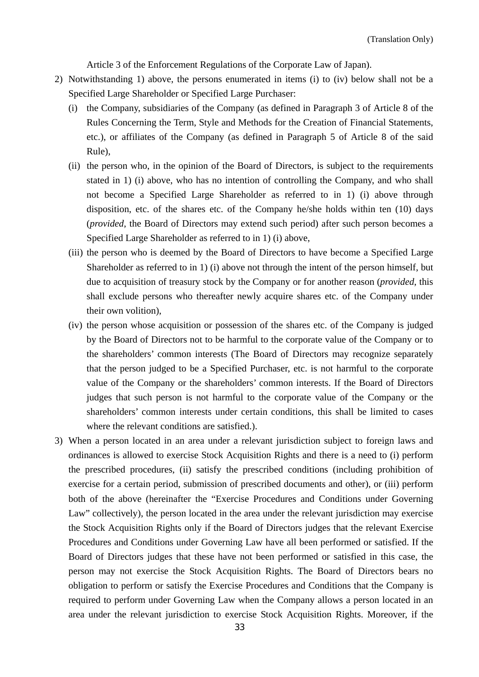Article 3 of the Enforcement Regulations of the Corporate Law of Japan).

- 2) Notwithstanding 1) above, the persons enumerated in items (i) to (iv) below shall not be a Specified Large Shareholder or Specified Large Purchaser:
	- (i) the Company, subsidiaries of the Company (as defined in Paragraph 3 of Article 8 of the Rules Concerning the Term, Style and Methods for the Creation of Financial Statements, etc.), or affiliates of the Company (as defined in Paragraph 5 of Article 8 of the said Rule),
	- (ii) the person who, in the opinion of the Board of Directors, is subject to the requirements stated in 1) (i) above, who has no intention of controlling the Company, and who shall not become a Specified Large Shareholder as referred to in 1) (i) above through disposition, etc. of the shares etc. of the Company he/she holds within ten (10) days (*provided*, the Board of Directors may extend such period) after such person becomes a Specified Large Shareholder as referred to in 1) (i) above,
	- (iii) the person who is deemed by the Board of Directors to have become a Specified Large Shareholder as referred to in 1) (i) above not through the intent of the person himself, but due to acquisition of treasury stock by the Company or for another reason (*provided*, this shall exclude persons who thereafter newly acquire shares etc. of the Company under their own volition),
	- (iv) the person whose acquisition or possession of the shares etc. of the Company is judged by the Board of Directors not to be harmful to the corporate value of the Company or to the shareholders' common interests (The Board of Directors may recognize separately that the person judged to be a Specified Purchaser, etc. is not harmful to the corporate value of the Company or the shareholders' common interests. If the Board of Directors judges that such person is not harmful to the corporate value of the Company or the shareholders' common interests under certain conditions, this shall be limited to cases where the relevant conditions are satisfied.).
- 3) When a person located in an area under a relevant jurisdiction subject to foreign laws and ordinances is allowed to exercise Stock Acquisition Rights and there is a need to (i) perform the prescribed procedures, (ii) satisfy the prescribed conditions (including prohibition of exercise for a certain period, submission of prescribed documents and other), or (iii) perform both of the above (hereinafter the "Exercise Procedures and Conditions under Governing Law" collectively), the person located in the area under the relevant jurisdiction may exercise the Stock Acquisition Rights only if the Board of Directors judges that the relevant Exercise Procedures and Conditions under Governing Law have all been performed or satisfied. If the Board of Directors judges that these have not been performed or satisfied in this case, the person may not exercise the Stock Acquisition Rights. The Board of Directors bears no obligation to perform or satisfy the Exercise Procedures and Conditions that the Company is required to perform under Governing Law when the Company allows a person located in an area under the relevant jurisdiction to exercise Stock Acquisition Rights. Moreover, if the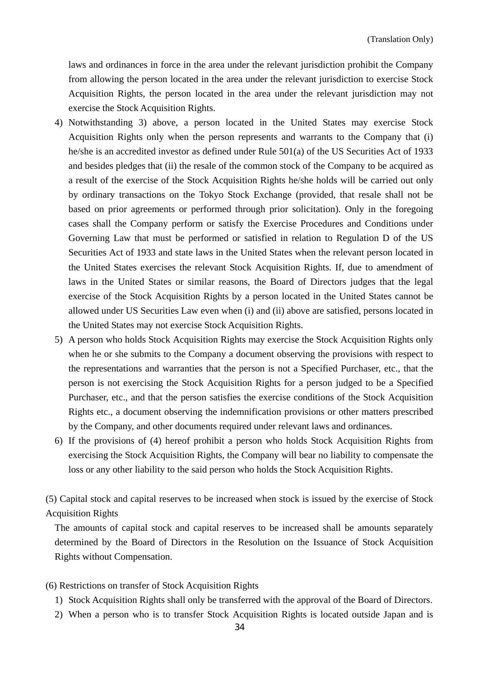laws and ordinances in force in the area under the relevant jurisdiction prohibit the Company from allowing the person located in the area under the relevant jurisdiction to exercise Stock Acquisition Rights, the person located in the area under the relevant jurisdiction may not exercise the Stock Acquisition Rights.

- 4) Notwithstanding 3) above, a person located in the United States may exercise Stock Acquisition Rights only when the person represents and warrants to the Company that (i) he/she is an accredited investor as defined under Rule 501(a) of the US Securities Act of 1933 and besides pledges that (ii) the resale of the common stock of the Company to be acquired as a result of the exercise of the Stock Acquisition Rights he/she holds will be carried out only by ordinary transactions on the Tokyo Stock Exchange (provided, that resale shall not be based on prior agreements or performed through prior solicitation). Only in the foregoing cases shall the Company perform or satisfy the Exercise Procedures and Conditions under Governing Law that must be performed or satisfied in relation to Regulation D of the US Securities Act of 1933 and state laws in the United States when the relevant person located in the United States exercises the relevant Stock Acquisition Rights. If, due to amendment of laws in the United States or similar reasons, the Board of Directors judges that the legal exercise of the Stock Acquisition Rights by a person located in the United States cannot be allowed under US Securities Law even when (i) and (ii) above are satisfied, persons located in the United States may not exercise Stock Acquisition Rights.
- 5) A person who holds Stock Acquisition Rights may exercise the Stock Acquisition Rights only when he or she submits to the Company a document observing the provisions with respect to the representations and warranties that the person is not a Specified Purchaser, etc., that the person is not exercising the Stock Acquisition Rights for a person judged to be a Specified Purchaser, etc., and that the person satisfies the exercise conditions of the Stock Acquisition Rights etc., a document observing the indemnification provisions or other matters prescribed by the Company, and other documents required under relevant laws and ordinances.
- 6) If the provisions of (4) hereof prohibit a person who holds Stock Acquisition Rights from exercising the Stock Acquisition Rights, the Company will bear no liability to compensate the loss or any other liability to the said person who holds the Stock Acquisition Rights.

(5) Capital stock and capital reserves to be increased when stock is issued by the exercise of Stock Acquisition Rights

The amounts of capital stock and capital reserves to be increased shall be amounts separately determined by the Board of Directors in the Resolution on the Issuance of Stock Acquisition Rights without Compensation.

- (6) Restrictions on transfer of Stock Acquisition Rights
	- 1) Stock Acquisition Rights shall only be transferred with the approval of the Board of Directors.
	- 2) When a person who is to transfer Stock Acquisition Rights is located outside Japan and is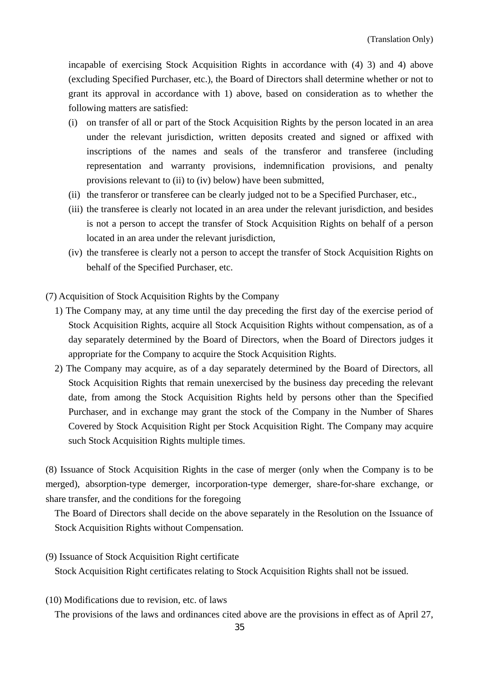incapable of exercising Stock Acquisition Rights in accordance with (4) 3) and 4) above (excluding Specified Purchaser, etc.), the Board of Directors shall determine whether or not to grant its approval in accordance with 1) above, based on consideration as to whether the following matters are satisfied:

- (i) on transfer of all or part of the Stock Acquisition Rights by the person located in an area under the relevant jurisdiction, written deposits created and signed or affixed with inscriptions of the names and seals of the transferor and transferee (including representation and warranty provisions, indemnification provisions, and penalty provisions relevant to (ii) to (iv) below) have been submitted,
- (ii) the transferor or transferee can be clearly judged not to be a Specified Purchaser, etc.,
- (iii) the transferee is clearly not located in an area under the relevant jurisdiction, and besides is not a person to accept the transfer of Stock Acquisition Rights on behalf of a person located in an area under the relevant jurisdiction,
- (iv) the transferee is clearly not a person to accept the transfer of Stock Acquisition Rights on behalf of the Specified Purchaser, etc.
- (7) Acquisition of Stock Acquisition Rights by the Company
	- 1) The Company may, at any time until the day preceding the first day of the exercise period of Stock Acquisition Rights, acquire all Stock Acquisition Rights without compensation, as of a day separately determined by the Board of Directors, when the Board of Directors judges it appropriate for the Company to acquire the Stock Acquisition Rights.
	- 2) The Company may acquire, as of a day separately determined by the Board of Directors, all Stock Acquisition Rights that remain unexercised by the business day preceding the relevant date, from among the Stock Acquisition Rights held by persons other than the Specified Purchaser, and in exchange may grant the stock of the Company in the Number of Shares Covered by Stock Acquisition Right per Stock Acquisition Right. The Company may acquire such Stock Acquisition Rights multiple times.

(8) Issuance of Stock Acquisition Rights in the case of merger (only when the Company is to be merged), absorption-type demerger, incorporation-type demerger, share-for-share exchange, or share transfer, and the conditions for the foregoing

The Board of Directors shall decide on the above separately in the Resolution on the Issuance of Stock Acquisition Rights without Compensation.

- (9) Issuance of Stock Acquisition Right certificate Stock Acquisition Right certificates relating to Stock Acquisition Rights shall not be issued.
- (10) Modifications due to revision, etc. of laws

The provisions of the laws and ordinances cited above are the provisions in effect as of April 27,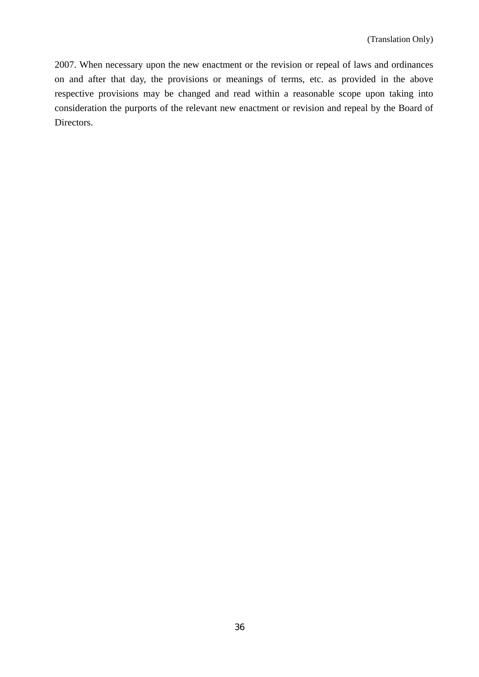2007. When necessary upon the new enactment or the revision or repeal of laws and ordinances on and after that day, the provisions or meanings of terms, etc. as provided in the above respective provisions may be changed and read within a reasonable scope upon taking into consideration the purports of the relevant new enactment or revision and repeal by the Board of Directors.